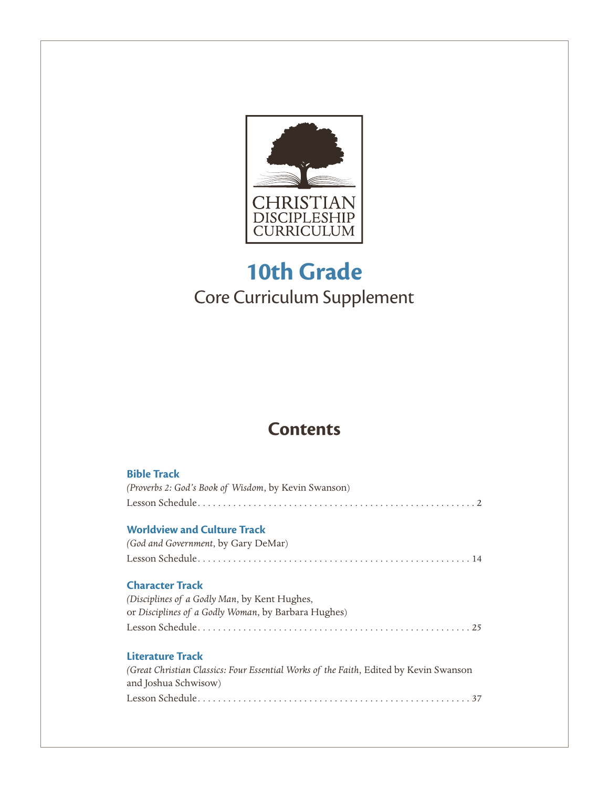

## **10th Grade** Core Curriculum Supplement

## **Contents**

| <b>Bible Track</b><br>(Proverbs 2: God's Book of Wisdom, by Kevin Swanson)                                    |
|---------------------------------------------------------------------------------------------------------------|
| <b>Worldview and Culture Track</b>                                                                            |
| (God and Government, by Gary DeMar)                                                                           |
|                                                                                                               |
| <b>Character Track</b>                                                                                        |
| (Disciplines of a Godly Man, by Kent Hughes,                                                                  |
| or Disciplines of a Godly Woman, by Barbara Hughes)                                                           |
|                                                                                                               |
| Literature Track                                                                                              |
| (Great Christian Classics: Four Essential Works of the Faith, Edited by Kevin Swanson<br>and Joshua Schwisow) |
|                                                                                                               |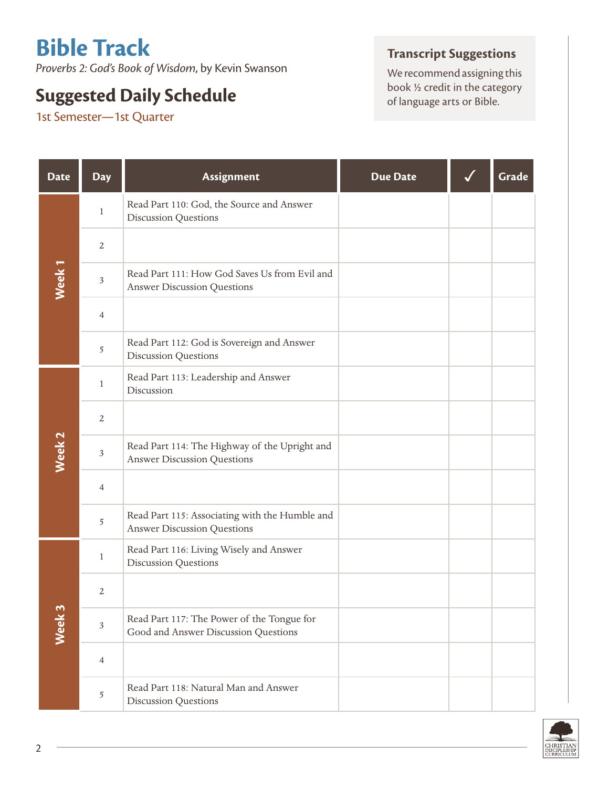# **Bible Track**

*Proverbs 2: God's Book of Wisdom*, by Kevin Swanson

## **Suggested Daily Schedule**

1st Semester—1st Quarter

## **Transcript Suggestions**

We recommend assigning this book ½ credit in the category of language arts or Bible.

| <b>Date</b>       | <b>Day</b>     | Assignment                                                                           | <b>Due Date</b> | Grade |
|-------------------|----------------|--------------------------------------------------------------------------------------|-----------------|-------|
|                   | $\mathbf{1}$   | Read Part 110: God, the Source and Answer<br><b>Discussion Questions</b>             |                 |       |
|                   | $\sqrt{2}$     |                                                                                      |                 |       |
| Week <sub>1</sub> | $\mathfrak{Z}$ | Read Part 111: How God Saves Us from Evil and<br><b>Answer Discussion Questions</b>  |                 |       |
|                   | $\overline{4}$ |                                                                                      |                 |       |
|                   | 5              | Read Part 112: God is Sovereign and Answer<br><b>Discussion Questions</b>            |                 |       |
|                   | $\mathbf{1}$   | Read Part 113: Leadership and Answer<br>Discussion                                   |                 |       |
|                   | $\sqrt{2}$     |                                                                                      |                 |       |
| Week <sub>2</sub> | $\mathfrak{Z}$ | Read Part 114: The Highway of the Upright and<br><b>Answer Discussion Questions</b>  |                 |       |
|                   | $\overline{4}$ |                                                                                      |                 |       |
|                   | 5              | Read Part 115: Associating with the Humble and<br><b>Answer Discussion Questions</b> |                 |       |
|                   | $\mathbf{1}$   | Read Part 116: Living Wisely and Answer<br><b>Discussion Questions</b>               |                 |       |
|                   | $\overline{2}$ |                                                                                      |                 |       |
| Week 3            | $\mathfrak{Z}$ | Read Part 117: The Power of the Tongue for<br>Good and Answer Discussion Questions   |                 |       |
|                   | $\overline{4}$ |                                                                                      |                 |       |
|                   | 5              | Read Part 118: Natural Man and Answer<br><b>Discussion Questions</b>                 |                 |       |

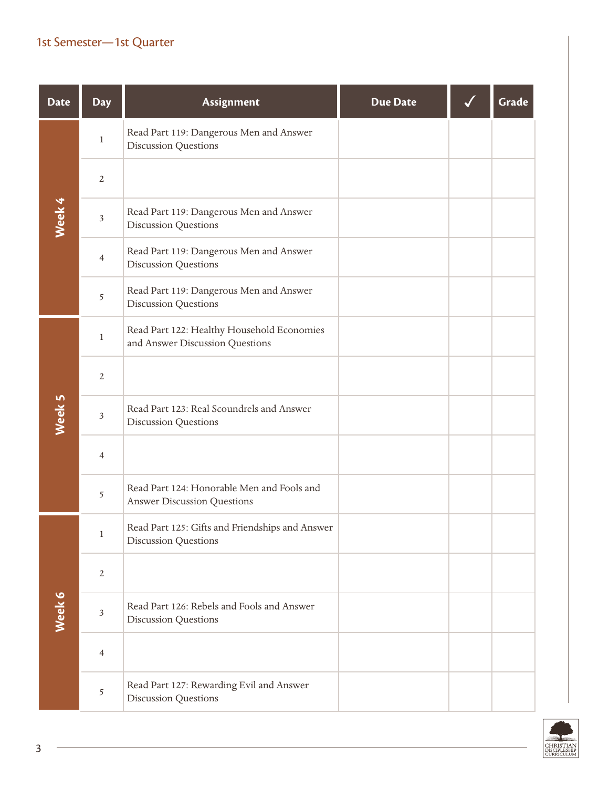| <b>Date</b> | <b>Day</b>     | Assignment                                                                       | <b>Due Date</b> | Grade |
|-------------|----------------|----------------------------------------------------------------------------------|-----------------|-------|
|             | $\,1$          | Read Part 119: Dangerous Men and Answer<br><b>Discussion Questions</b>           |                 |       |
|             | $\overline{2}$ |                                                                                  |                 |       |
| Week 4      | $\mathfrak{Z}$ | Read Part 119: Dangerous Men and Answer<br><b>Discussion Questions</b>           |                 |       |
|             | $\overline{4}$ | Read Part 119: Dangerous Men and Answer<br><b>Discussion Questions</b>           |                 |       |
|             | 5              | Read Part 119: Dangerous Men and Answer<br><b>Discussion Questions</b>           |                 |       |
|             | $\mathbf{1}$   | Read Part 122: Healthy Household Economies<br>and Answer Discussion Questions    |                 |       |
|             | $\overline{2}$ |                                                                                  |                 |       |
| Week 5      | $\mathfrak{Z}$ | Read Part 123: Real Scoundrels and Answer<br><b>Discussion Questions</b>         |                 |       |
|             | $\overline{4}$ |                                                                                  |                 |       |
|             | 5              | Read Part 124: Honorable Men and Fools and<br><b>Answer Discussion Questions</b> |                 |       |
|             | $\mathbf{1}$   | Read Part 125: Gifts and Friendships and Answer<br><b>Discussion Questions</b>   |                 |       |
|             | $\overline{2}$ |                                                                                  |                 |       |
| Week 6      | $\mathfrak{Z}$ | Read Part 126: Rebels and Fools and Answer<br><b>Discussion Questions</b>        |                 |       |
|             | 4              |                                                                                  |                 |       |
|             | 5              | Read Part 127: Rewarding Evil and Answer<br><b>Discussion Questions</b>          |                 |       |

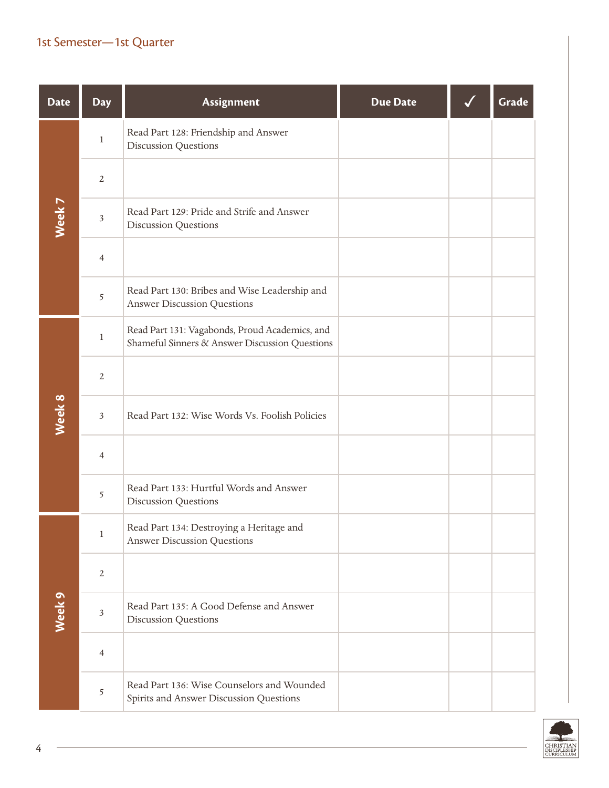| <b>Date</b> | <b>Day</b>     | Assignment                                                                                       | <b>Due Date</b> | Grade |
|-------------|----------------|--------------------------------------------------------------------------------------------------|-----------------|-------|
|             | $\mathbf{1}$   | Read Part 128: Friendship and Answer<br><b>Discussion Questions</b>                              |                 |       |
|             | $\overline{2}$ |                                                                                                  |                 |       |
| Week 7      | $\sqrt{3}$     | Read Part 129: Pride and Strife and Answer<br><b>Discussion Questions</b>                        |                 |       |
|             | $\overline{4}$ |                                                                                                  |                 |       |
|             | $\sqrt{5}$     | Read Part 130: Bribes and Wise Leadership and<br><b>Answer Discussion Questions</b>              |                 |       |
|             | $\mathbf{1}$   | Read Part 131: Vagabonds, Proud Academics, and<br>Shameful Sinners & Answer Discussion Questions |                 |       |
|             | $\overline{2}$ |                                                                                                  |                 |       |
| Week 8      | $\mathfrak{Z}$ | Read Part 132: Wise Words Vs. Foolish Policies                                                   |                 |       |
|             | $\overline{4}$ |                                                                                                  |                 |       |
|             | $\sqrt{5}$     | Read Part 133: Hurtful Words and Answer<br><b>Discussion Questions</b>                           |                 |       |
|             | 1              | Read Part 134: Destroying a Heritage and<br><b>Answer Discussion Questions</b>                   |                 |       |
|             | $\overline{2}$ |                                                                                                  |                 |       |
| Week 9      | $\sqrt{3}$     | Read Part 135: A Good Defense and Answer<br><b>Discussion Questions</b>                          |                 |       |
|             | $\overline{4}$ |                                                                                                  |                 |       |
|             | $\overline{5}$ | Read Part 136: Wise Counselors and Wounded<br>Spirits and Answer Discussion Questions            |                 |       |

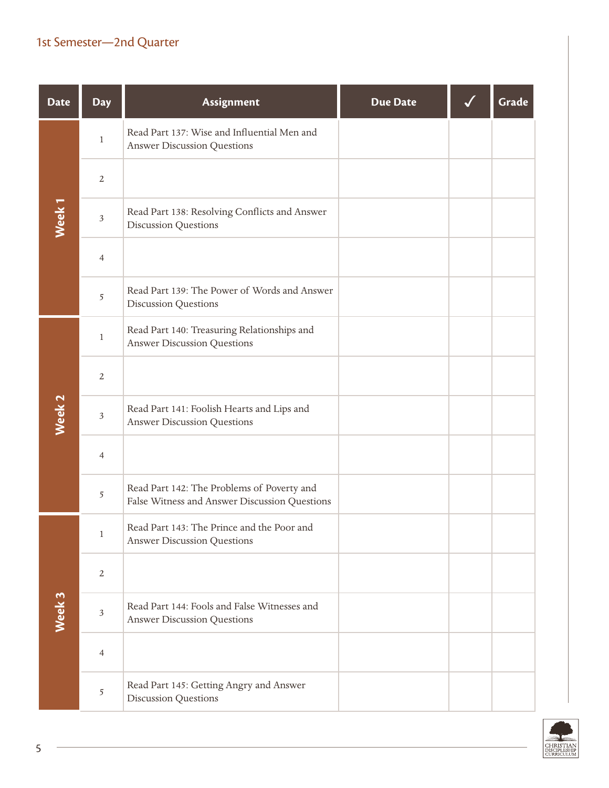| <b>Date</b>       | <b>Day</b>     | Assignment                                                                                  | <b>Due Date</b> | Grade |
|-------------------|----------------|---------------------------------------------------------------------------------------------|-----------------|-------|
|                   | $\,1$          | Read Part 137: Wise and Influential Men and<br><b>Answer Discussion Questions</b>           |                 |       |
|                   | $\overline{2}$ |                                                                                             |                 |       |
| Week <sub>1</sub> | $\mathfrak{Z}$ | Read Part 138: Resolving Conflicts and Answer<br><b>Discussion Questions</b>                |                 |       |
|                   | $\overline{4}$ |                                                                                             |                 |       |
|                   | 5              | Read Part 139: The Power of Words and Answer<br><b>Discussion Questions</b>                 |                 |       |
|                   | $\mathbf{1}$   | Read Part 140: Treasuring Relationships and<br><b>Answer Discussion Questions</b>           |                 |       |
|                   | $\overline{2}$ |                                                                                             |                 |       |
| Week <sub>2</sub> | $\mathfrak{Z}$ | Read Part 141: Foolish Hearts and Lips and<br><b>Answer Discussion Questions</b>            |                 |       |
|                   | $\overline{4}$ |                                                                                             |                 |       |
|                   | 5              | Read Part 142: The Problems of Poverty and<br>False Witness and Answer Discussion Questions |                 |       |
|                   | $\mathbf{1}$   | Read Part 143: The Prince and the Poor and<br><b>Answer Discussion Questions</b>            |                 |       |
|                   | $\overline{2}$ |                                                                                             |                 |       |
| Week 3            | $\mathfrak{Z}$ | Read Part 144: Fools and False Witnesses and<br><b>Answer Discussion Questions</b>          |                 |       |
|                   | $\overline{4}$ |                                                                                             |                 |       |
|                   | 5              | Read Part 145: Getting Angry and Answer<br><b>Discussion Questions</b>                      |                 |       |

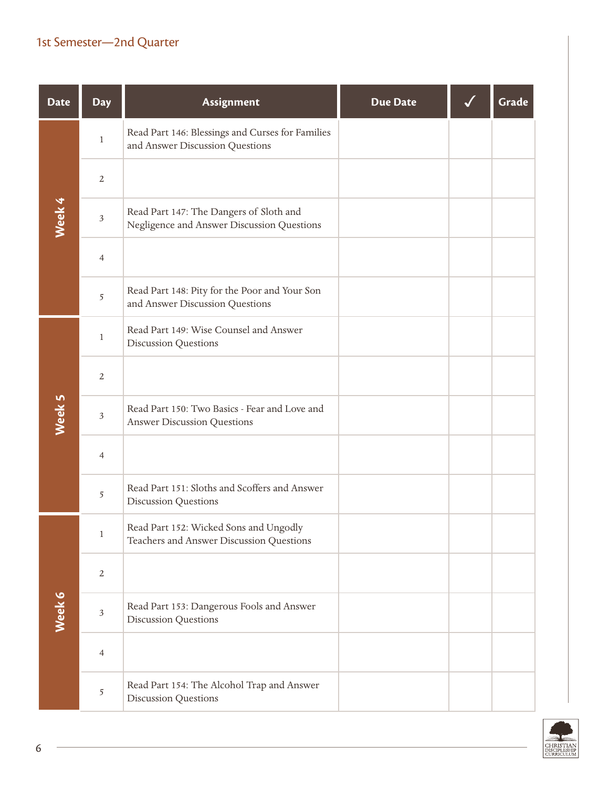| <b>Date</b> | <b>Day</b>     | Assignment                                                                            | <b>Due Date</b> | Grade |
|-------------|----------------|---------------------------------------------------------------------------------------|-----------------|-------|
|             | $\mathbf{1}$   | Read Part 146: Blessings and Curses for Families<br>and Answer Discussion Questions   |                 |       |
|             | $\overline{2}$ |                                                                                       |                 |       |
| Week 4      | $\sqrt{3}$     | Read Part 147: The Dangers of Sloth and<br>Negligence and Answer Discussion Questions |                 |       |
|             | $\overline{4}$ |                                                                                       |                 |       |
|             | $\sqrt{5}$     | Read Part 148: Pity for the Poor and Your Son<br>and Answer Discussion Questions      |                 |       |
|             | $\mathbf{1}$   | Read Part 149: Wise Counsel and Answer<br><b>Discussion Questions</b>                 |                 |       |
|             | $\overline{2}$ |                                                                                       |                 |       |
| Week 5      | $\sqrt{3}$     | Read Part 150: Two Basics - Fear and Love and<br><b>Answer Discussion Questions</b>   |                 |       |
|             | $\overline{4}$ |                                                                                       |                 |       |
|             | $\overline{5}$ | Read Part 151: Sloths and Scoffers and Answer<br><b>Discussion Questions</b>          |                 |       |
|             | $\mathbf{1}$   | Read Part 152: Wicked Sons and Ungodly<br>Teachers and Answer Discussion Questions    |                 |       |
|             | $\overline{2}$ |                                                                                       |                 |       |
| Week 6      | $\sqrt{3}$     | Read Part 153: Dangerous Fools and Answer<br><b>Discussion Questions</b>              |                 |       |
|             | $\overline{4}$ |                                                                                       |                 |       |
|             | $\sqrt{5}$     | Read Part 154: The Alcohol Trap and Answer<br><b>Discussion Questions</b>             |                 |       |

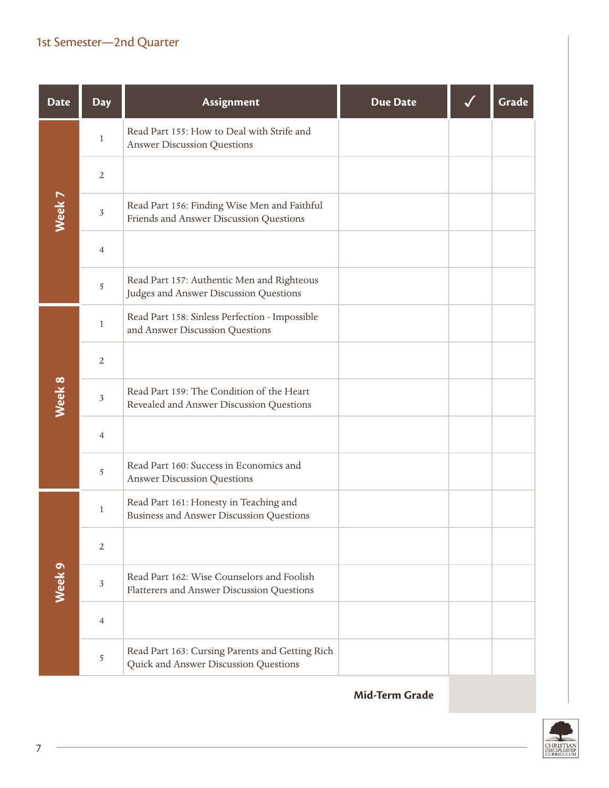| <b>Date</b>       | <b>Day</b>     | Assignment                                                                               | <b>Due Date</b> | Grade |
|-------------------|----------------|------------------------------------------------------------------------------------------|-----------------|-------|
|                   | $\mathbf{1}$   | Read Part 155: How to Deal with Strife and<br><b>Answer Discussion Questions</b>         |                 |       |
|                   | $\overline{2}$ |                                                                                          |                 |       |
| Week <sub>7</sub> | $\mathfrak{Z}$ | Read Part 156: Finding Wise Men and Faithful<br>Friends and Answer Discussion Questions  |                 |       |
|                   | $\overline{4}$ |                                                                                          |                 |       |
|                   | 5              | Read Part 157: Authentic Men and Righteous<br>Judges and Answer Discussion Questions     |                 |       |
|                   | $\mathbf{1}$   | Read Part 158: Sinless Perfection - Impossible<br>and Answer Discussion Questions        |                 |       |
|                   | $\overline{2}$ |                                                                                          |                 |       |
| Week 8            | $\sqrt{3}$     | Read Part 159: The Condition of the Heart<br>Revealed and Answer Discussion Questions    |                 |       |
|                   | $\overline{4}$ |                                                                                          |                 |       |
|                   | 5              | Read Part 160: Success in Economics and<br><b>Answer Discussion Questions</b>            |                 |       |
|                   | $\mathbf{1}$   | Read Part 161: Honesty in Teaching and<br>Business and Answer Discussion Questions       |                 |       |
|                   | $\sqrt{2}$     |                                                                                          |                 |       |
| Week <sub>9</sub> | $\mathfrak{Z}$ | Read Part 162: Wise Counselors and Foolish<br>Flatterers and Answer Discussion Questions |                 |       |
|                   | $\overline{4}$ |                                                                                          |                 |       |
|                   | 5              | Read Part 163: Cursing Parents and Getting Rich<br>Quick and Answer Discussion Questions |                 |       |

**Mid-Term Grade**

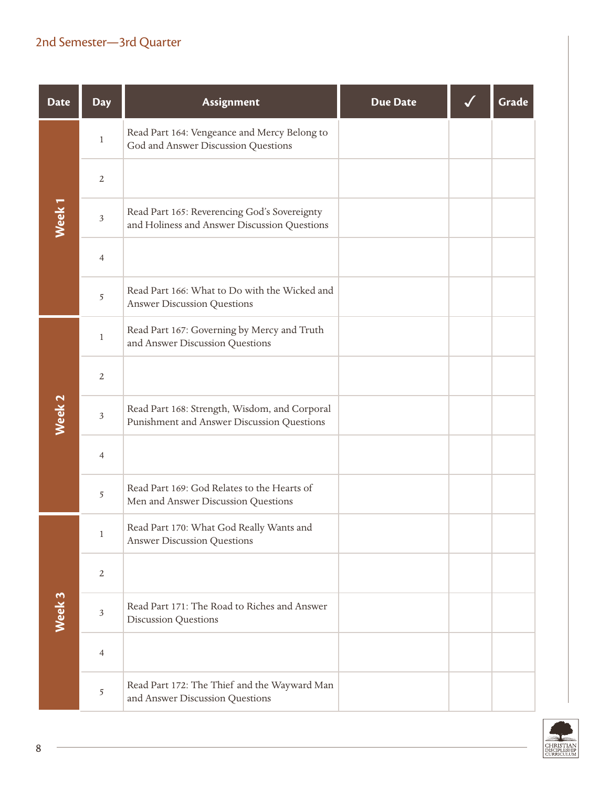| <b>Date</b>       | <b>Day</b>     | Assignment                                                                                   | <b>Due Date</b> | Grade |
|-------------------|----------------|----------------------------------------------------------------------------------------------|-----------------|-------|
|                   | $\mathbf{1}$   | Read Part 164: Vengeance and Mercy Belong to<br>God and Answer Discussion Questions          |                 |       |
|                   | $\overline{2}$ |                                                                                              |                 |       |
| Week <sub>1</sub> | $\mathfrak{Z}$ | Read Part 165: Reverencing God's Sovereignty<br>and Holiness and Answer Discussion Questions |                 |       |
|                   | $\overline{4}$ |                                                                                              |                 |       |
|                   | 5              | Read Part 166: What to Do with the Wicked and<br><b>Answer Discussion Questions</b>          |                 |       |
|                   | $\mathbf{1}$   | Read Part 167: Governing by Mercy and Truth<br>and Answer Discussion Questions               |                 |       |
|                   | $\overline{2}$ |                                                                                              |                 |       |
| Week <sub>2</sub> | $\mathfrak{Z}$ | Read Part 168: Strength, Wisdom, and Corporal<br>Punishment and Answer Discussion Questions  |                 |       |
|                   | $\overline{4}$ |                                                                                              |                 |       |
|                   | 5              | Read Part 169: God Relates to the Hearts of<br>Men and Answer Discussion Questions           |                 |       |
|                   | 1              | Read Part 170: What God Really Wants and<br><b>Answer Discussion Questions</b>               |                 |       |
|                   | $\overline{2}$ |                                                                                              |                 |       |
| Week 3            | $\mathfrak{Z}$ | Read Part 171: The Road to Riches and Answer<br><b>Discussion Questions</b>                  |                 |       |
|                   | $\overline{4}$ |                                                                                              |                 |       |
|                   | 5              | Read Part 172: The Thief and the Wayward Man<br>and Answer Discussion Questions              |                 |       |

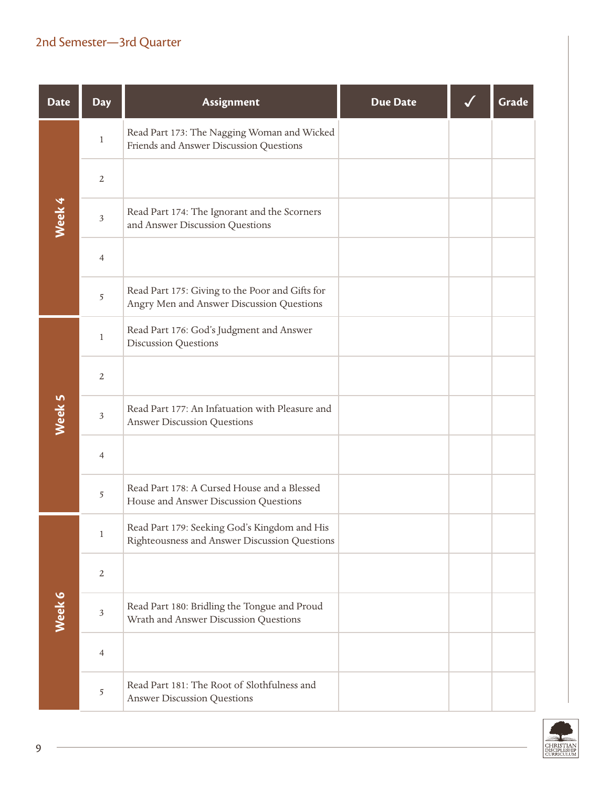| <b>Date</b> | <b>Day</b>     | Assignment                                                                                    | <b>Due Date</b> | Grade |
|-------------|----------------|-----------------------------------------------------------------------------------------------|-----------------|-------|
|             | $\mathbf{1}$   | Read Part 173: The Nagging Woman and Wicked<br>Friends and Answer Discussion Questions        |                 |       |
|             | $\overline{2}$ |                                                                                               |                 |       |
| Week 4      | $\mathfrak{Z}$ | Read Part 174: The Ignorant and the Scorners<br>and Answer Discussion Questions               |                 |       |
|             | $\overline{4}$ |                                                                                               |                 |       |
|             | 5              | Read Part 175: Giving to the Poor and Gifts for<br>Angry Men and Answer Discussion Questions  |                 |       |
|             | $\mathbf{1}$   | Read Part 176: God's Judgment and Answer<br><b>Discussion Questions</b>                       |                 |       |
|             | $\overline{2}$ |                                                                                               |                 |       |
| Week 5      | $\mathfrak{Z}$ | Read Part 177: An Infatuation with Pleasure and<br><b>Answer Discussion Questions</b>         |                 |       |
|             | $\overline{4}$ |                                                                                               |                 |       |
|             | 5              | Read Part 178: A Cursed House and a Blessed<br>House and Answer Discussion Questions          |                 |       |
|             | $\mathbf{1}$   | Read Part 179: Seeking God's Kingdom and His<br>Righteousness and Answer Discussion Questions |                 |       |
|             | $\overline{2}$ |                                                                                               |                 |       |
| Week 6      | $\mathfrak{Z}$ | Read Part 180: Bridling the Tongue and Proud<br>Wrath and Answer Discussion Questions         |                 |       |
|             | 4              |                                                                                               |                 |       |
|             | $\sqrt{5}$     | Read Part 181: The Root of Slothfulness and<br><b>Answer Discussion Questions</b>             |                 |       |

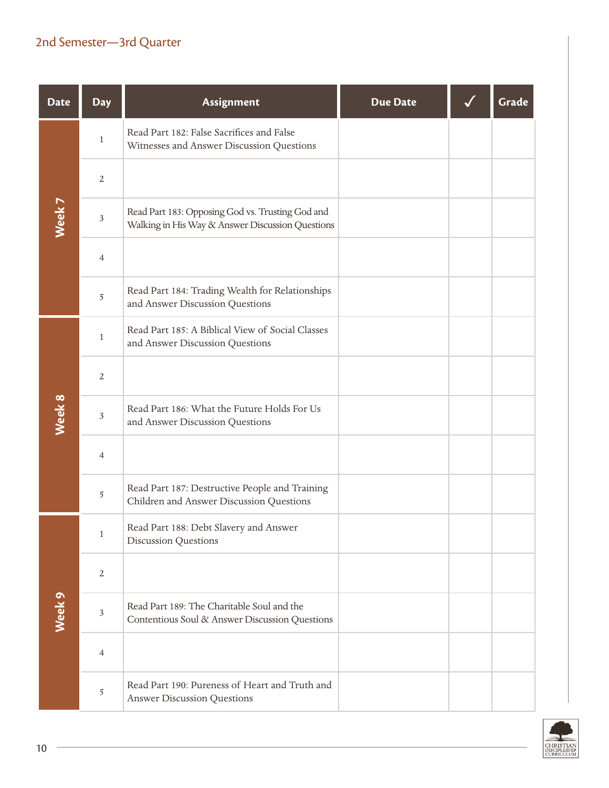| <b>Date</b>       | <b>Day</b>     | Assignment                                                                                           | <b>Due Date</b> | Grade |
|-------------------|----------------|------------------------------------------------------------------------------------------------------|-----------------|-------|
|                   | $\mathbf{1}$   | Read Part 182: False Sacrifices and False<br>Witnesses and Answer Discussion Questions               |                 |       |
|                   | $\overline{2}$ |                                                                                                      |                 |       |
| Week 7            | $\mathfrak{Z}$ | Read Part 183: Opposing God vs. Trusting God and<br>Walking in His Way & Answer Discussion Questions |                 |       |
|                   | $\overline{4}$ |                                                                                                      |                 |       |
|                   | 5              | Read Part 184: Trading Wealth for Relationships<br>and Answer Discussion Questions                   |                 |       |
|                   | $\mathbf{1}$   | Read Part 185: A Biblical View of Social Classes<br>and Answer Discussion Questions                  |                 |       |
|                   | $\overline{2}$ |                                                                                                      |                 |       |
| Week 8            | $\mathfrak{Z}$ | Read Part 186: What the Future Holds For Us<br>and Answer Discussion Questions                       |                 |       |
|                   | $\overline{4}$ |                                                                                                      |                 |       |
|                   | 5              | Read Part 187: Destructive People and Training<br>Children and Answer Discussion Questions           |                 |       |
|                   | $\mathbf{1}$   | Read Part 188: Debt Slavery and Answer<br><b>Discussion Questions</b>                                |                 |       |
|                   | 2              |                                                                                                      |                 |       |
| Week <sub>9</sub> | $\mathfrak{Z}$ | Read Part 189: The Charitable Soul and the<br>Contentious Soul & Answer Discussion Questions         |                 |       |
|                   | 4              |                                                                                                      |                 |       |
|                   | 5              | Read Part 190: Pureness of Heart and Truth and<br><b>Answer Discussion Questions</b>                 |                 |       |

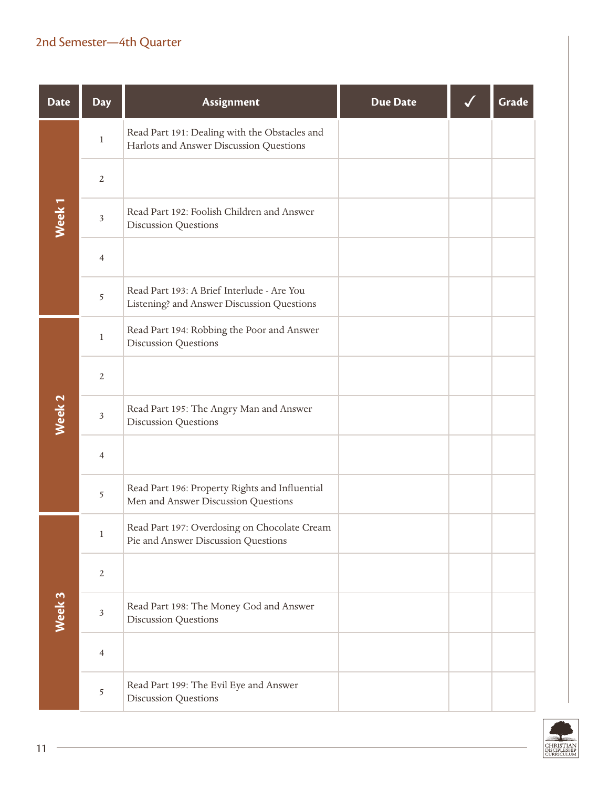| <b>Date</b>       | <b>Day</b>     | Assignment                                                                               | <b>Due Date</b> | Grade |
|-------------------|----------------|------------------------------------------------------------------------------------------|-----------------|-------|
|                   | $\mathbf{1}$   | Read Part 191: Dealing with the Obstacles and<br>Harlots and Answer Discussion Questions |                 |       |
|                   | $\overline{2}$ |                                                                                          |                 |       |
| Week <sub>1</sub> | $\mathfrak{Z}$ | Read Part 192: Foolish Children and Answer<br><b>Discussion Questions</b>                |                 |       |
|                   | $\overline{4}$ |                                                                                          |                 |       |
|                   | 5              | Read Part 193: A Brief Interlude - Are You<br>Listening? and Answer Discussion Questions |                 |       |
|                   | $\mathbf{1}$   | Read Part 194: Robbing the Poor and Answer<br><b>Discussion Questions</b>                |                 |       |
|                   | $\overline{2}$ |                                                                                          |                 |       |
| Week <sub>2</sub> | $\mathfrak{Z}$ | Read Part 195: The Angry Man and Answer<br><b>Discussion Questions</b>                   |                 |       |
|                   | $\overline{4}$ |                                                                                          |                 |       |
|                   | 5              | Read Part 196: Property Rights and Influential<br>Men and Answer Discussion Questions    |                 |       |
|                   | $\mathbf{1}$   | Read Part 197: Overdosing on Chocolate Cream<br>Pie and Answer Discussion Questions      |                 |       |
|                   | $\overline{2}$ |                                                                                          |                 |       |
| Week 3            | $\mathfrak{Z}$ | Read Part 198: The Money God and Answer<br><b>Discussion Questions</b>                   |                 |       |
|                   | 4              |                                                                                          |                 |       |
|                   | $\sqrt{5}$     | Read Part 199: The Evil Eye and Answer<br><b>Discussion Questions</b>                    |                 |       |

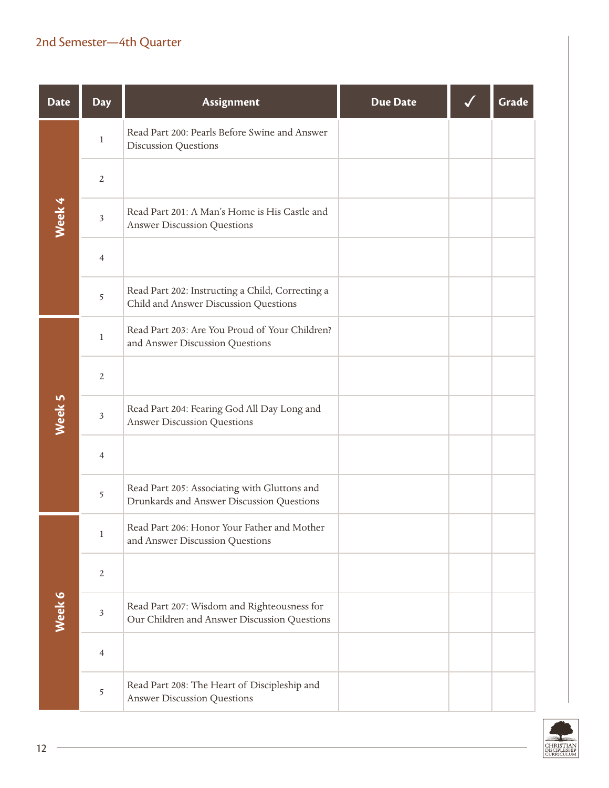| <b>Date</b> | <b>Day</b>     | Assignment                                                                                  | <b>Due Date</b> | Grade |
|-------------|----------------|---------------------------------------------------------------------------------------------|-----------------|-------|
|             | $\mathbf{1}$   | Read Part 200: Pearls Before Swine and Answer<br><b>Discussion Questions</b>                |                 |       |
|             | $\mathbf{2}$   |                                                                                             |                 |       |
| Week 4      | $\sqrt{3}$     | Read Part 201: A Man's Home is His Castle and<br><b>Answer Discussion Questions</b>         |                 |       |
|             | $\overline{4}$ |                                                                                             |                 |       |
|             | 5              | Read Part 202: Instructing a Child, Correcting a<br>Child and Answer Discussion Questions   |                 |       |
|             | $\mathbf{1}$   | Read Part 203: Are You Proud of Your Children?<br>and Answer Discussion Questions           |                 |       |
|             | $\overline{2}$ |                                                                                             |                 |       |
| Week 5      | $\mathfrak{Z}$ | Read Part 204: Fearing God All Day Long and<br><b>Answer Discussion Questions</b>           |                 |       |
|             | 4              |                                                                                             |                 |       |
|             | 5              | Read Part 205: Associating with Gluttons and<br>Drunkards and Answer Discussion Questions   |                 |       |
|             | $\mathbf{1}$   | Read Part 206: Honor Your Father and Mother<br>and Answer Discussion Questions              |                 |       |
|             | $\overline{2}$ |                                                                                             |                 |       |
| Week 6      | $\mathfrak{Z}$ | Read Part 207: Wisdom and Righteousness for<br>Our Children and Answer Discussion Questions |                 |       |
|             | $\overline{4}$ |                                                                                             |                 |       |
|             | 5              | Read Part 208: The Heart of Discipleship and<br><b>Answer Discussion Questions</b>          |                 |       |

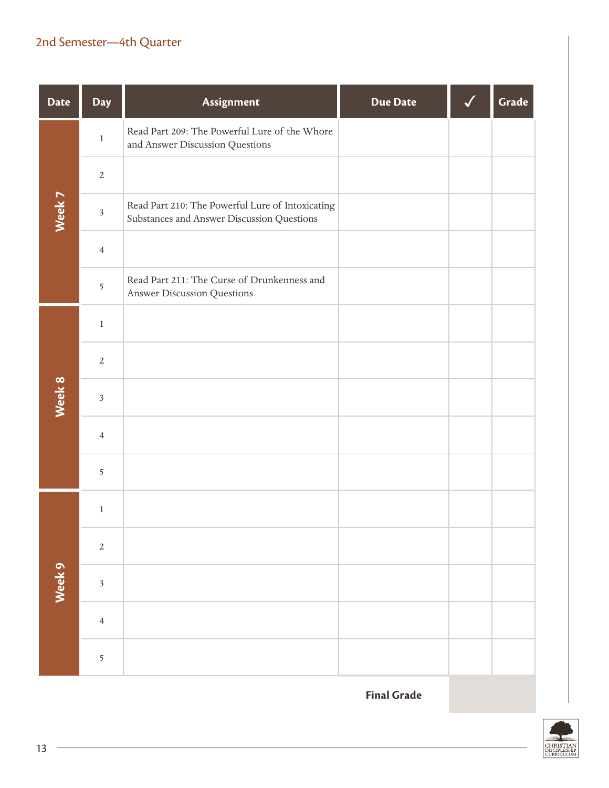| <b>Date</b> | Day            | Assignment                                                                                     | <b>Due Date</b> | Grade |
|-------------|----------------|------------------------------------------------------------------------------------------------|-----------------|-------|
|             | $\,1$          | Read Part 209: The Powerful Lure of the Whore<br>and Answer Discussion Questions               |                 |       |
|             | $\overline{2}$ |                                                                                                |                 |       |
| Week 7      | $\mathfrak{Z}$ | Read Part 210: The Powerful Lure of Intoxicating<br>Substances and Answer Discussion Questions |                 |       |
|             | $\overline{4}$ |                                                                                                |                 |       |
|             | 5              | Read Part 211: The Curse of Drunkenness and<br>Answer Discussion Questions                     |                 |       |
|             | $\,1$          |                                                                                                |                 |       |
|             | $\sqrt{2}$     |                                                                                                |                 |       |
| Week 8      | $\mathfrak{Z}$ |                                                                                                |                 |       |
|             | $\overline{4}$ |                                                                                                |                 |       |
|             | 5              |                                                                                                |                 |       |
|             | $\,1$          |                                                                                                |                 |       |
|             | $\sqrt{2}$     |                                                                                                |                 |       |
| Week 9      | $\sqrt{3}$     |                                                                                                |                 |       |
|             | $\overline{4}$ |                                                                                                |                 |       |
|             | $\overline{5}$ |                                                                                                |                 |       |

**Final Grade**

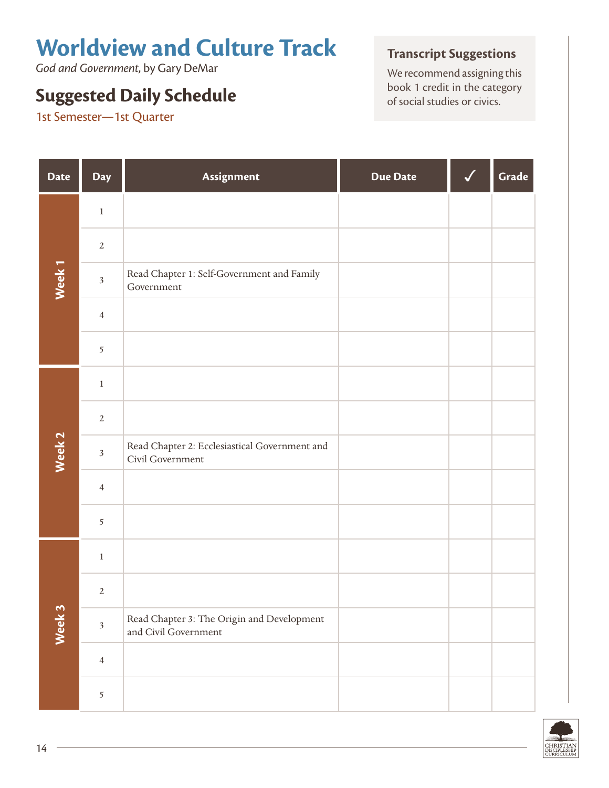# **Worldview and Culture Track**

*God and Government*, by Gary DeMar

## **Suggested Daily Schedule Suggested Daily Schedule Suggested Daily Schedule of social studies or civics.**

1st Semester—1st Quarter

#### **Transcript Suggestions**

We recommend assigning this<br>book 1 credit in the category

| <b>Date</b>       | Day            | Assignment                                                         | <b>Due Date</b> | Grade |
|-------------------|----------------|--------------------------------------------------------------------|-----------------|-------|
|                   | $\,1$          |                                                                    |                 |       |
|                   | $\sqrt{2}$     |                                                                    |                 |       |
| Week <sub>1</sub> | $\sqrt{3}$     | Read Chapter 1: Self-Government and Family<br>Government           |                 |       |
|                   | $\overline{4}$ |                                                                    |                 |       |
|                   | $\overline{5}$ |                                                                    |                 |       |
|                   | $\,1$          |                                                                    |                 |       |
|                   | $\sqrt{2}$     |                                                                    |                 |       |
| Week <sub>2</sub> | $\mathfrak{Z}$ | Read Chapter 2: Ecclesiastical Government and<br>Civil Government  |                 |       |
|                   | $\overline{4}$ |                                                                    |                 |       |
|                   | $\overline{5}$ |                                                                    |                 |       |
|                   | $\,1$          |                                                                    |                 |       |
|                   | $\sqrt{2}$     |                                                                    |                 |       |
| Week 3            | $\mathfrak{Z}$ | Read Chapter 3: The Origin and Development<br>and Civil Government |                 |       |
|                   | $\overline{4}$ |                                                                    |                 |       |
|                   | $\sqrt{5}$     |                                                                    |                 |       |

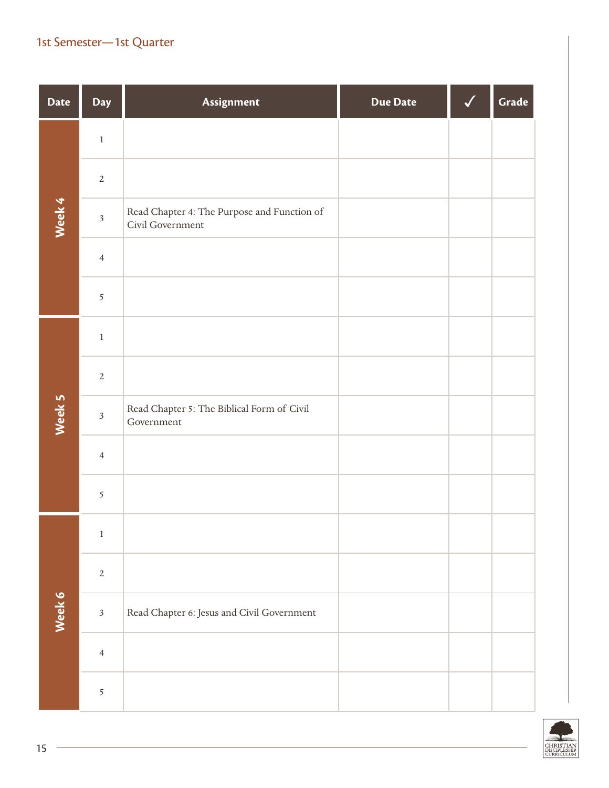| <b>Date</b> | <b>Day</b>     | Assignment                                                      | <b>Due Date</b> | Grade |
|-------------|----------------|-----------------------------------------------------------------|-----------------|-------|
|             | $\,1$          |                                                                 |                 |       |
|             | $\sqrt{2}$     |                                                                 |                 |       |
| Week 4      | $\sqrt{3}$     | Read Chapter 4: The Purpose and Function of<br>Civil Government |                 |       |
|             | $\overline{4}$ |                                                                 |                 |       |
|             | $\overline{5}$ |                                                                 |                 |       |
|             | $\,1$          |                                                                 |                 |       |
|             | $\overline{2}$ |                                                                 |                 |       |
| Week 5      | $\mathfrak{Z}$ | Read Chapter 5: The Biblical Form of Civil<br>Government        |                 |       |
|             | $\overline{4}$ |                                                                 |                 |       |
|             | $\overline{5}$ |                                                                 |                 |       |
|             | $\,1\,$        |                                                                 |                 |       |
|             | $\sqrt{2}$     |                                                                 |                 |       |
| Week 6      | $\sqrt{3}$     | Read Chapter 6: Jesus and Civil Government                      |                 |       |
|             | $\overline{4}$ |                                                                 |                 |       |
|             | $\mathfrak{S}$ |                                                                 |                 |       |

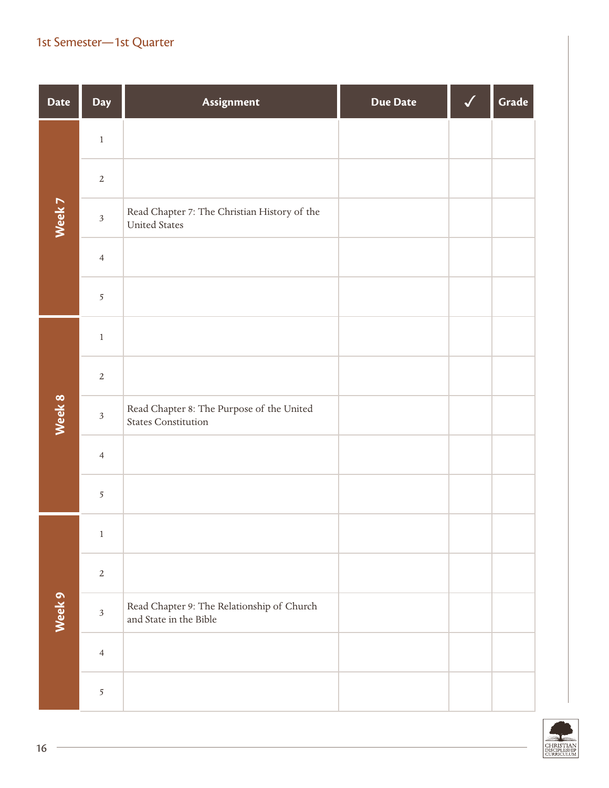| <b>Date</b> | Day                     | Assignment                                                              | <b>Due Date</b> | Grade |
|-------------|-------------------------|-------------------------------------------------------------------------|-----------------|-------|
|             | $\,1$                   |                                                                         |                 |       |
|             | $\sqrt{2}$              |                                                                         |                 |       |
| Week 7      | $\overline{\mathbf{3}}$ | Read Chapter 7: The Christian History of the<br><b>United States</b>    |                 |       |
|             | $\overline{4}$          |                                                                         |                 |       |
|             | 5                       |                                                                         |                 |       |
|             | $\,1$                   |                                                                         |                 |       |
|             | $\overline{2}$          |                                                                         |                 |       |
| Week 8      | $\mathfrak{Z}$          | Read Chapter 8: The Purpose of the United<br><b>States Constitution</b> |                 |       |
|             | $\overline{4}$          |                                                                         |                 |       |
|             | $\overline{5}$          |                                                                         |                 |       |
|             | $\mathbf{1}$            |                                                                         |                 |       |
|             | $\sqrt{2}$              |                                                                         |                 |       |
| Week 9      | $\overline{\mathbf{3}}$ | Read Chapter 9: The Relationship of Church<br>and State in the Bible    |                 |       |
|             | $\overline{4}$          |                                                                         |                 |       |
|             | $\overline{5}$          |                                                                         |                 |       |

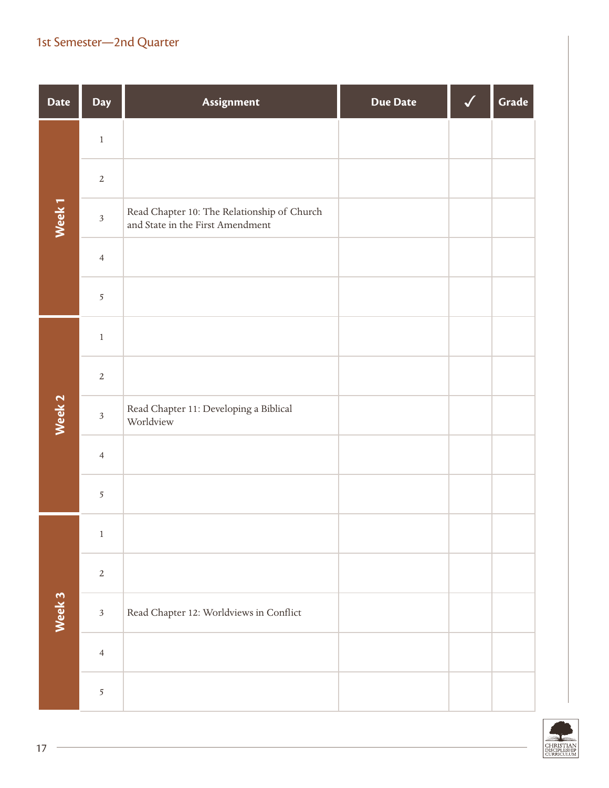| <b>Date</b>       | Day            | Assignment                                                                      | <b>Due Date</b> | Grade |
|-------------------|----------------|---------------------------------------------------------------------------------|-----------------|-------|
|                   | $\,1$          |                                                                                 |                 |       |
|                   | $\sqrt{2}$     |                                                                                 |                 |       |
| Week <sub>1</sub> | $\sqrt{3}$     | Read Chapter 10: The Relationship of Church<br>and State in the First Amendment |                 |       |
|                   | $\overline{4}$ |                                                                                 |                 |       |
|                   | 5              |                                                                                 |                 |       |
|                   | $\,1$          |                                                                                 |                 |       |
|                   | $\overline{2}$ |                                                                                 |                 |       |
| Week 2            | $\mathfrak{Z}$ | Read Chapter 11: Developing a Biblical<br>Worldview                             |                 |       |
|                   | $\overline{4}$ |                                                                                 |                 |       |
|                   | $\overline{5}$ |                                                                                 |                 |       |
|                   | $\mathbf{1}$   |                                                                                 |                 |       |
|                   | $\mathbf{2}$   |                                                                                 |                 |       |
| Week 3            | $\overline{3}$ | Read Chapter 12: Worldviews in Conflict                                         |                 |       |
|                   | $\overline{4}$ |                                                                                 |                 |       |
|                   | $\overline{5}$ |                                                                                 |                 |       |

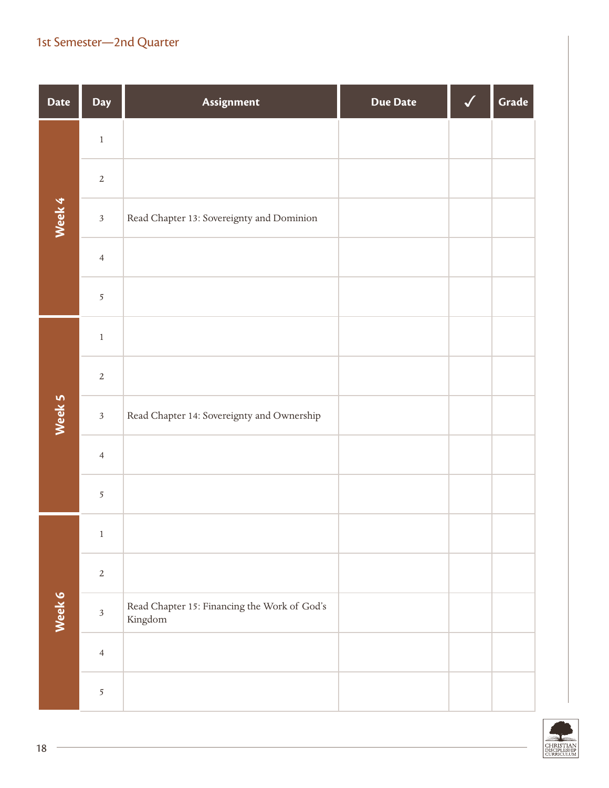| <b>Date</b> | Day                     | Assignment                                              | <b>Due Date</b> | Grade |
|-------------|-------------------------|---------------------------------------------------------|-----------------|-------|
|             | $\,1$                   |                                                         |                 |       |
|             | $\sqrt{2}$              |                                                         |                 |       |
| Week 4      | $\mathfrak{Z}$          | Read Chapter 13: Sovereignty and Dominion               |                 |       |
|             | $\overline{4}$          |                                                         |                 |       |
|             | $\overline{5}$          |                                                         |                 |       |
|             | $\,1$                   |                                                         |                 |       |
|             | $\overline{2}$          |                                                         |                 |       |
| Week 5      | $\overline{3}$          | Read Chapter 14: Sovereignty and Ownership              |                 |       |
|             | $\overline{4}$          |                                                         |                 |       |
|             | 5                       |                                                         |                 |       |
|             | $\,1$                   |                                                         |                 |       |
|             | $\mathbf{2}$            |                                                         |                 |       |
| Week 6      | $\overline{\mathbf{3}}$ | Read Chapter 15: Financing the Work of God's<br>Kingdom |                 |       |
|             | $\overline{4}$          |                                                         |                 |       |
|             | $\overline{5}$          |                                                         |                 |       |

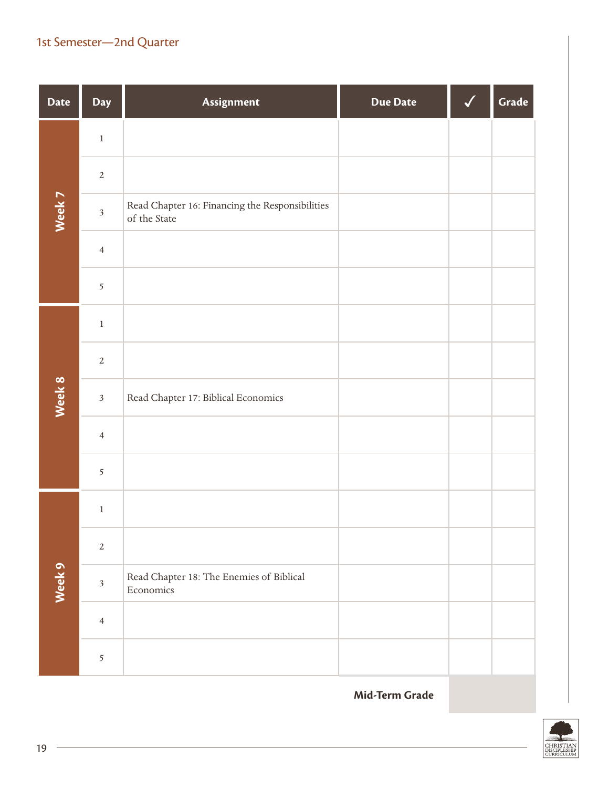| <b>Date</b> | Day            | Assignment                                                      | <b>Due Date</b> | Grade |
|-------------|----------------|-----------------------------------------------------------------|-----------------|-------|
|             | $\,1$          |                                                                 |                 |       |
|             | $\overline{2}$ |                                                                 |                 |       |
| Week 7      | $\sqrt{3}$     | Read Chapter 16: Financing the Responsibilities<br>of the State |                 |       |
|             | $\overline{4}$ |                                                                 |                 |       |
|             | 5              |                                                                 |                 |       |
|             | $\,1$          |                                                                 |                 |       |
|             | $\overline{2}$ |                                                                 |                 |       |
| Week 8      | $\mathfrak{Z}$ | Read Chapter 17: Biblical Economics                             |                 |       |
|             | $\overline{4}$ |                                                                 |                 |       |
|             | 5              |                                                                 |                 |       |
|             | $\,1$          |                                                                 |                 |       |
|             | $\overline{2}$ |                                                                 |                 |       |
| Week 9      | $\mathfrak{Z}$ | Read Chapter 18: The Enemies of Biblical<br>Economics           |                 |       |
|             | $\overline{4}$ |                                                                 |                 |       |
|             | 5              |                                                                 |                 |       |

**Mid-Term Grade**

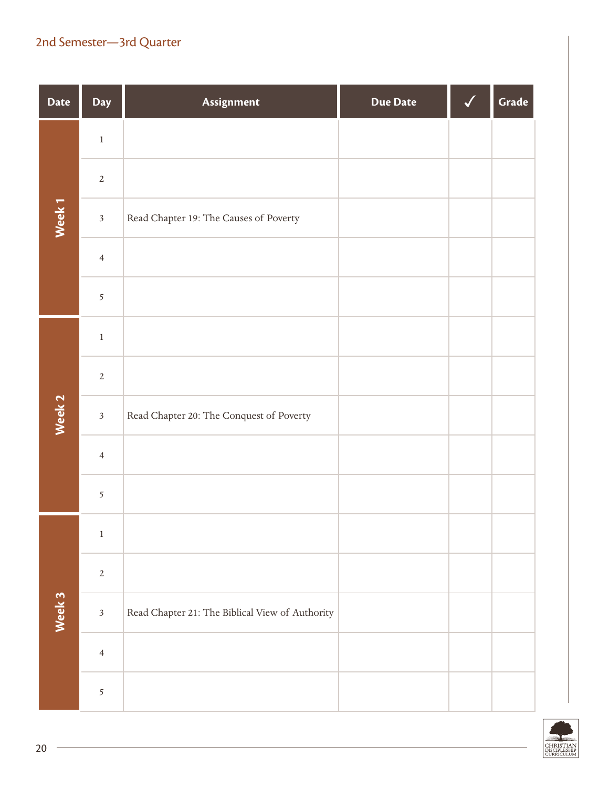| <b>Date</b>       | Day            | Assignment                                      | <b>Due Date</b> | Grade |
|-------------------|----------------|-------------------------------------------------|-----------------|-------|
|                   | $\,1\,$        |                                                 |                 |       |
|                   | $\sqrt{2}$     |                                                 |                 |       |
| Week <sub>1</sub> | $\sqrt{3}$     | Read Chapter 19: The Causes of Poverty          |                 |       |
|                   | $\overline{4}$ |                                                 |                 |       |
|                   | $\overline{5}$ |                                                 |                 |       |
|                   | $\,1$          |                                                 |                 |       |
|                   | $\overline{2}$ |                                                 |                 |       |
| Week 2            | $\mathfrak{Z}$ | Read Chapter 20: The Conquest of Poverty        |                 |       |
|                   | $\overline{4}$ |                                                 |                 |       |
|                   | $\overline{5}$ |                                                 |                 |       |
|                   | $\,1\,$        |                                                 |                 |       |
|                   | $\sqrt{2}$     |                                                 |                 |       |
| Week 3            | $\sqrt{3}$     | Read Chapter 21: The Biblical View of Authority |                 |       |
|                   | $\overline{4}$ |                                                 |                 |       |
|                   | $\mathfrak{S}$ |                                                 |                 |       |

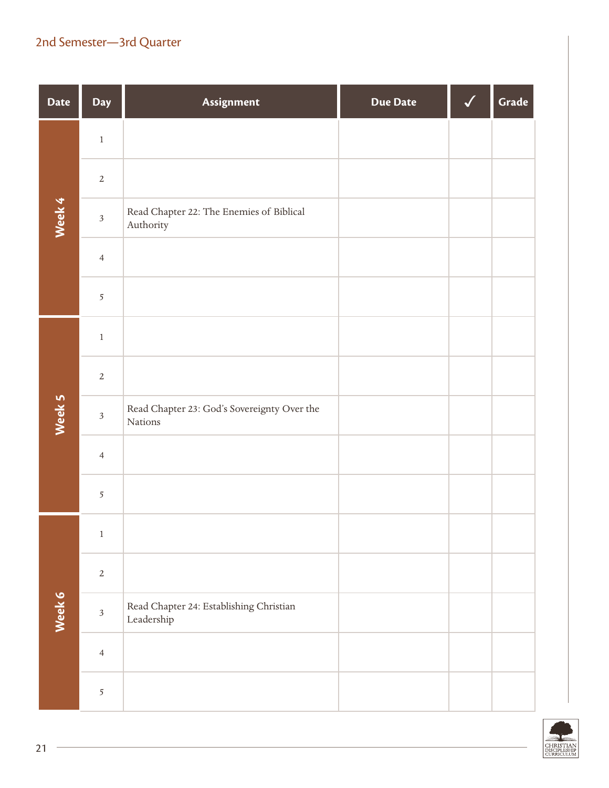| <b>Date</b> | Day                     | Assignment                                                                        | <b>Due Date</b> | Grade |
|-------------|-------------------------|-----------------------------------------------------------------------------------|-----------------|-------|
|             | $\,1$                   |                                                                                   |                 |       |
|             | $\overline{2}$          |                                                                                   |                 |       |
| Week 4      | $\overline{\mathbf{3}}$ | Read Chapter 22: The Enemies of Biblical<br>Authority                             |                 |       |
|             | $\overline{4}$          |                                                                                   |                 |       |
|             | 5                       |                                                                                   |                 |       |
|             | $\,1$                   |                                                                                   |                 |       |
|             | $\sqrt{2}$              |                                                                                   |                 |       |
| Week 5      | $\mathfrak{Z}$          | Read Chapter 23: God's Sovereignty Over the<br>Nations                            |                 |       |
|             | $\overline{4}$          |                                                                                   |                 |       |
|             | $\overline{5}$          |                                                                                   |                 |       |
|             | $\mathbf{1}$            |                                                                                   |                 |       |
|             | $\sqrt{2}$              |                                                                                   |                 |       |
| Week 6      | $\overline{\mathbf{3}}$ | Read Chapter 24: Establishing Christian<br>$\label{thm:lead} \textbf{Leadership}$ |                 |       |
|             | $\overline{4}$          |                                                                                   |                 |       |
|             | 5                       |                                                                                   |                 |       |

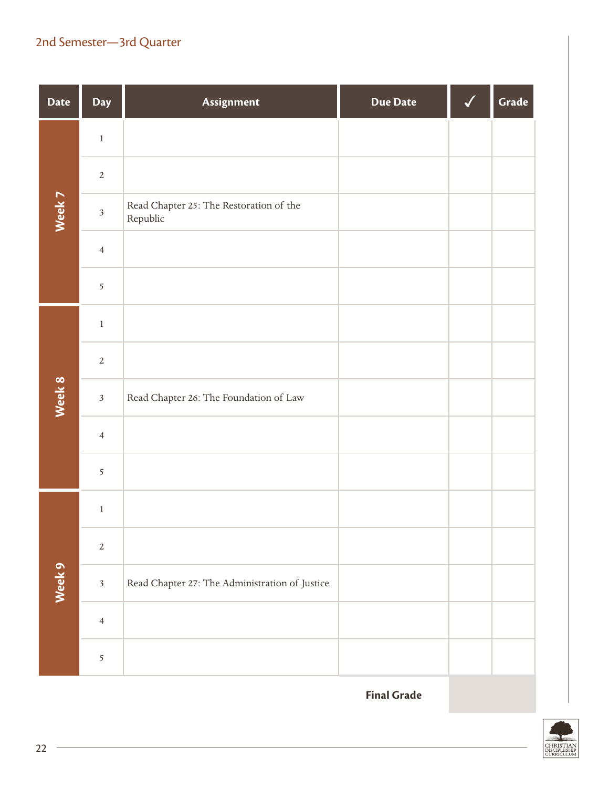| <b>Date</b> | <b>Day</b>     | Assignment                                          | <b>Due Date</b> | Grade |
|-------------|----------------|-----------------------------------------------------|-----------------|-------|
|             | $\,1$          |                                                     |                 |       |
|             | $\overline{2}$ |                                                     |                 |       |
| Week 7      | $\mathfrak{Z}$ | Read Chapter 25: The Restoration of the<br>Republic |                 |       |
|             | $\overline{4}$ |                                                     |                 |       |
|             | 5              |                                                     |                 |       |
|             | $\,1$          |                                                     |                 |       |
|             | $\overline{2}$ |                                                     |                 |       |
| Week 8      | $\sqrt{3}$     | Read Chapter 26: The Foundation of Law              |                 |       |
|             | $\overline{4}$ |                                                     |                 |       |
|             | $\overline{5}$ |                                                     |                 |       |
|             | $\,1$          |                                                     |                 |       |
|             | $\sqrt{2}$     |                                                     |                 |       |
| Week 9      | $\sqrt{3}$     | Read Chapter 27: The Administration of Justice      |                 |       |
|             | $\overline{4}$ |                                                     |                 |       |
|             | 5              |                                                     |                 |       |

**Final Grade**

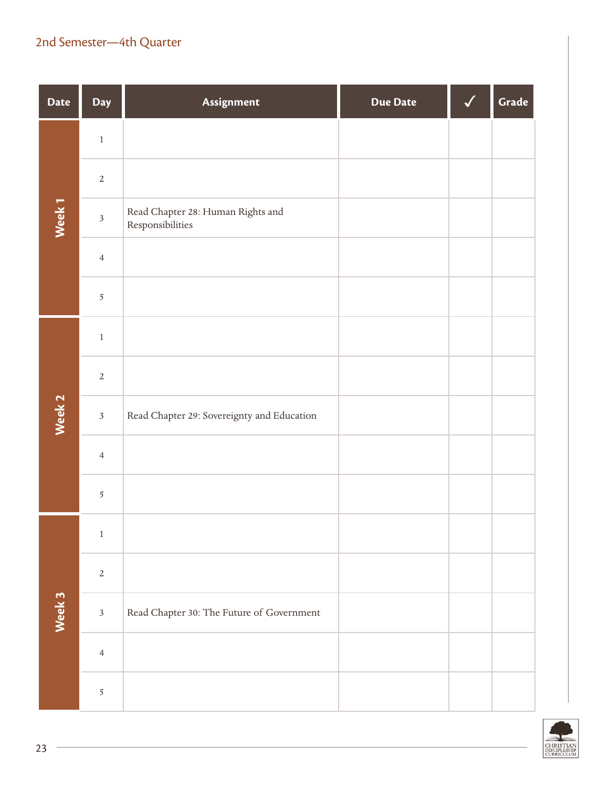| <b>Date</b>       | Day                     | Assignment                                            | <b>Due Date</b> | Grade |
|-------------------|-------------------------|-------------------------------------------------------|-----------------|-------|
|                   | $\,1$                   |                                                       |                 |       |
|                   | $\sqrt{2}$              |                                                       |                 |       |
| Week <sub>1</sub> | $\overline{\mathbf{3}}$ | Read Chapter 28: Human Rights and<br>Responsibilities |                 |       |
|                   | $\overline{4}$          |                                                       |                 |       |
|                   | $\overline{5}$          |                                                       |                 |       |
|                   | $\,1$                   |                                                       |                 |       |
|                   | $\overline{2}$          |                                                       |                 |       |
| Week <sub>2</sub> | $\mathfrak{Z}$          | Read Chapter 29: Sovereignty and Education            |                 |       |
|                   | $\overline{4}$          |                                                       |                 |       |
|                   | 5                       |                                                       |                 |       |
|                   | $\,1$                   |                                                       |                 |       |
|                   | $\sqrt{2}$              |                                                       |                 |       |
| Week 3            | $\overline{3}$          | Read Chapter 30: The Future of Government             |                 |       |
|                   | $\overline{4}$          |                                                       |                 |       |
|                   | $\overline{5}$          |                                                       |                 |       |

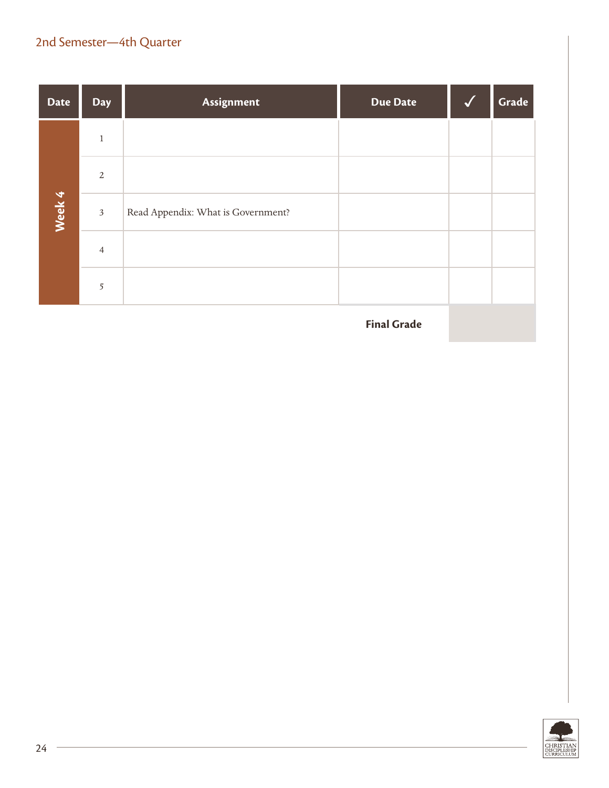| <b>Date</b> | <b>Day</b>     | Assignment                         | <b>Due Date</b> | Grade |
|-------------|----------------|------------------------------------|-----------------|-------|
|             | $\mathbf{1}$   |                                    |                 |       |
|             | 2              |                                    |                 |       |
| Week 4      | $\mathfrak{Z}$ | Read Appendix: What is Government? |                 |       |
|             | $\overline{4}$ |                                    |                 |       |
|             | 5              |                                    |                 |       |

**Final Grade**

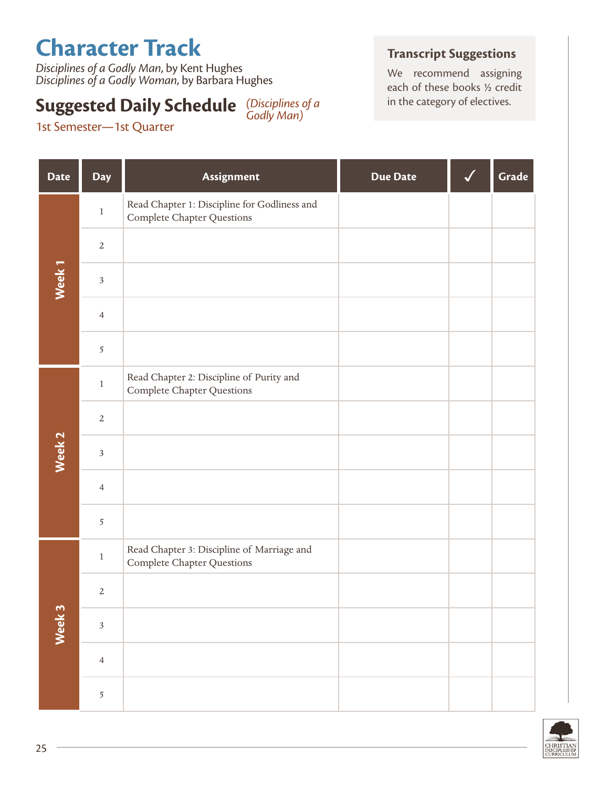# **Character Track**

1st Semester—1st Quarter

*Disciplines of a Godly Man*, by Kent Hughes *Disciplines of a Godly Woman*, by Barbara Hughes

#### **Suggested Daily Schedule** (Disciplines of a state in the category of electives. *Godly Man)*

#### **Transcript Suggestions**

We recommend assigning each of these books ½ credit

| <b>Date</b>       | <b>Day</b>     | Assignment                                                                      | <b>Due Date</b> | Grade |
|-------------------|----------------|---------------------------------------------------------------------------------|-----------------|-------|
|                   | $\,1$          | Read Chapter 1: Discipline for Godliness and<br>Complete Chapter Questions      |                 |       |
|                   | $\sqrt{2}$     |                                                                                 |                 |       |
| Week <sub>1</sub> | $\mathfrak{Z}$ |                                                                                 |                 |       |
|                   | $\overline{4}$ |                                                                                 |                 |       |
|                   | $\overline{5}$ |                                                                                 |                 |       |
|                   | $\,1\,$        | Read Chapter 2: Discipline of Purity and<br>Complete Chapter Questions          |                 |       |
|                   | $\sqrt{2}$     |                                                                                 |                 |       |
| Week <sub>2</sub> | $\sqrt{3}$     |                                                                                 |                 |       |
|                   | $\overline{4}$ |                                                                                 |                 |       |
|                   | 5              |                                                                                 |                 |       |
|                   | $\,1$          | Read Chapter 3: Discipline of Marriage and<br><b>Complete Chapter Questions</b> |                 |       |
|                   | $\sqrt{2}$     |                                                                                 |                 |       |
| Week 3            | $\sqrt{3}$     |                                                                                 |                 |       |
|                   | $\overline{4}$ |                                                                                 |                 |       |
|                   | $\sqrt{5}$     |                                                                                 |                 |       |

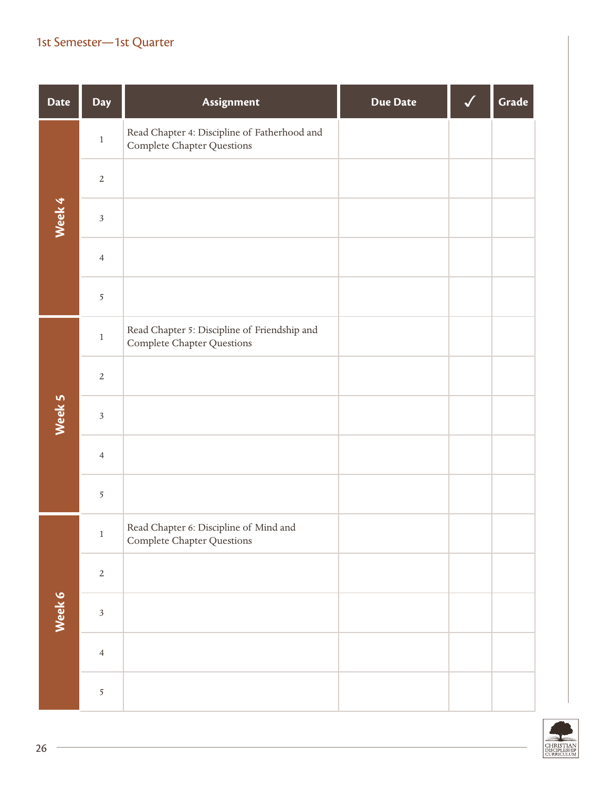| <b>Date</b> | Day                     | Assignment                                                                        | <b>Due Date</b> | Grade |
|-------------|-------------------------|-----------------------------------------------------------------------------------|-----------------|-------|
|             | $\,1\,$                 | Read Chapter 4: Discipline of Fatherhood and<br>Complete Chapter Questions        |                 |       |
|             | $\sqrt{2}$              |                                                                                   |                 |       |
| Week 4      | $\overline{\mathbf{3}}$ |                                                                                   |                 |       |
|             | $\overline{4}$          |                                                                                   |                 |       |
|             | 5                       |                                                                                   |                 |       |
|             | $\,1\,$                 | Read Chapter 5: Discipline of Friendship and<br><b>Complete Chapter Questions</b> |                 |       |
|             | $\sqrt{2}$              |                                                                                   |                 |       |
| Week 5      | $\overline{\mathbf{3}}$ |                                                                                   |                 |       |
|             | $\overline{4}$          |                                                                                   |                 |       |
|             | $\overline{5}$          |                                                                                   |                 |       |
|             | $\,1\,$                 | Read Chapter 6: Discipline of Mind and<br>Complete Chapter Questions              |                 |       |
|             | $\sqrt{2}$              |                                                                                   |                 |       |
| Week 6      | $\overline{\mathbf{3}}$ |                                                                                   |                 |       |
|             | $\overline{4}$          |                                                                                   |                 |       |
|             | $\mathfrak{S}$          |                                                                                   |                 |       |

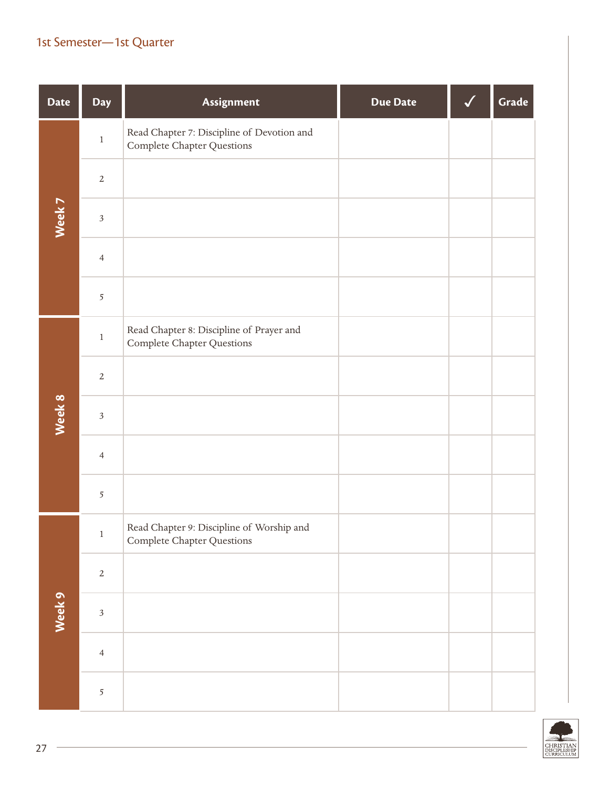| <b>Date</b> | Day                     | Assignment                                                               | <b>Due Date</b> | Grade |
|-------------|-------------------------|--------------------------------------------------------------------------|-----------------|-------|
|             | $\,1$                   | Read Chapter 7: Discipline of Devotion and<br>Complete Chapter Questions |                 |       |
|             | $\sqrt{2}$              |                                                                          |                 |       |
| Week 7      | $\mathfrak{Z}$          |                                                                          |                 |       |
|             | $\overline{4}$          |                                                                          |                 |       |
|             | $\overline{5}$          |                                                                          |                 |       |
|             | $\,1$                   | Read Chapter 8: Discipline of Prayer and<br>Complete Chapter Questions   |                 |       |
|             | $\sqrt{2}$              |                                                                          |                 |       |
| Week 8      | $\overline{\mathbf{3}}$ |                                                                          |                 |       |
|             | $\overline{4}$          |                                                                          |                 |       |
|             | $\overline{5}$          |                                                                          |                 |       |
|             | $\,1\,$                 | Read Chapter 9: Discipline of Worship and<br>Complete Chapter Questions  |                 |       |
|             | $\sqrt{2}$              |                                                                          |                 |       |
| Week 9      | $\overline{\mathbf{3}}$ |                                                                          |                 |       |
|             | $\overline{4}$          |                                                                          |                 |       |
|             | $\mathfrak{S}$          |                                                                          |                 |       |

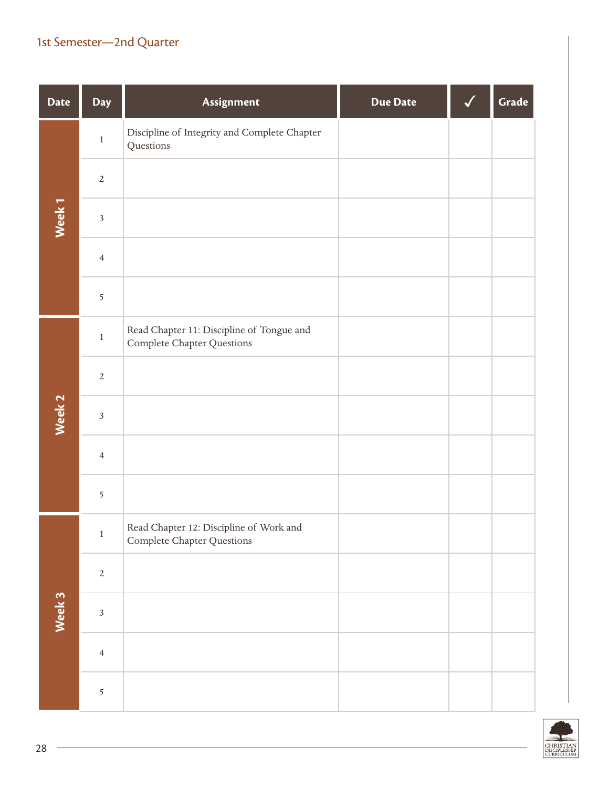| <b>Date</b>       | Day            | Assignment                                                              | <b>Due Date</b> | Grade |
|-------------------|----------------|-------------------------------------------------------------------------|-----------------|-------|
|                   | $\,1$          | Discipline of Integrity and Complete Chapter<br>Questions               |                 |       |
|                   | $\overline{2}$ |                                                                         |                 |       |
| Week <sub>1</sub> | $\sqrt{3}$     |                                                                         |                 |       |
|                   | $\overline{4}$ |                                                                         |                 |       |
|                   | $\overline{5}$ |                                                                         |                 |       |
|                   | $\,1$          | Read Chapter 11: Discipline of Tongue and<br>Complete Chapter Questions |                 |       |
|                   | $\overline{2}$ |                                                                         |                 |       |
| Week 2            | $\sqrt{3}$     |                                                                         |                 |       |
|                   | $\overline{4}$ |                                                                         |                 |       |
|                   | 5              |                                                                         |                 |       |
|                   | $\,1$          | Read Chapter 12: Discipline of Work and<br>Complete Chapter Questions   |                 |       |
|                   | $\overline{2}$ |                                                                         |                 |       |
| Week 3            | $\overline{3}$ |                                                                         |                 |       |
|                   | $\overline{4}$ |                                                                         |                 |       |
|                   | 5              |                                                                         |                 |       |

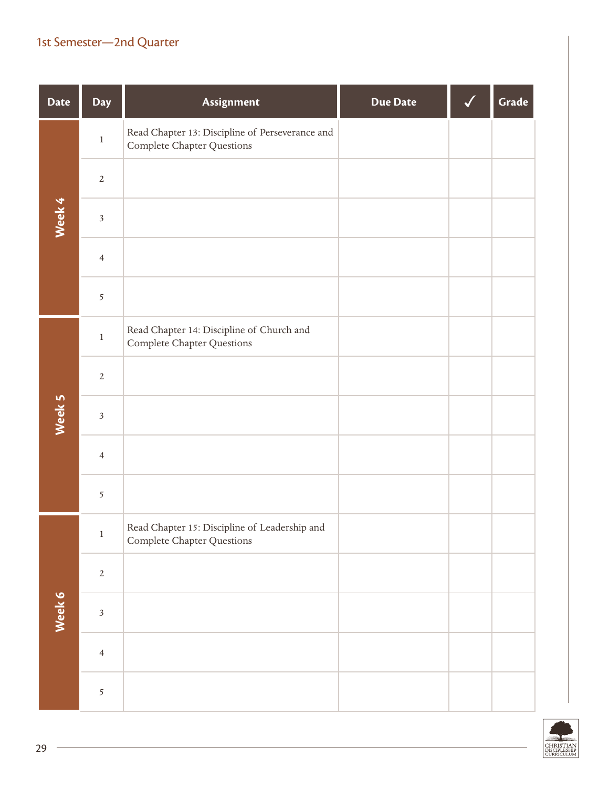| <b>Date</b> | Day            | Assignment                                                                     | <b>Due Date</b> | Grade |
|-------------|----------------|--------------------------------------------------------------------------------|-----------------|-------|
|             | $\,1$          | Read Chapter 13: Discipline of Perseverance and<br>Complete Chapter Questions  |                 |       |
|             | $\sqrt{2}$     |                                                                                |                 |       |
| Week 4      | $\sqrt{3}$     |                                                                                |                 |       |
|             | $\overline{4}$ |                                                                                |                 |       |
|             | $\overline{5}$ |                                                                                |                 |       |
|             | $\,1$          | Read Chapter 14: Discipline of Church and<br><b>Complete Chapter Questions</b> |                 |       |
|             | $\overline{2}$ |                                                                                |                 |       |
| Week 5      | $\sqrt{3}$     |                                                                                |                 |       |
|             | $\overline{4}$ |                                                                                |                 |       |
|             | $\overline{5}$ |                                                                                |                 |       |
|             | $\,1\,$        | Read Chapter 15: Discipline of Leadership and<br>Complete Chapter Questions    |                 |       |
|             | $\sqrt{2}$     |                                                                                |                 |       |
| Week 6      | $\overline{3}$ |                                                                                |                 |       |
|             | $\overline{4}$ |                                                                                |                 |       |
|             | $\overline{5}$ |                                                                                |                 |       |

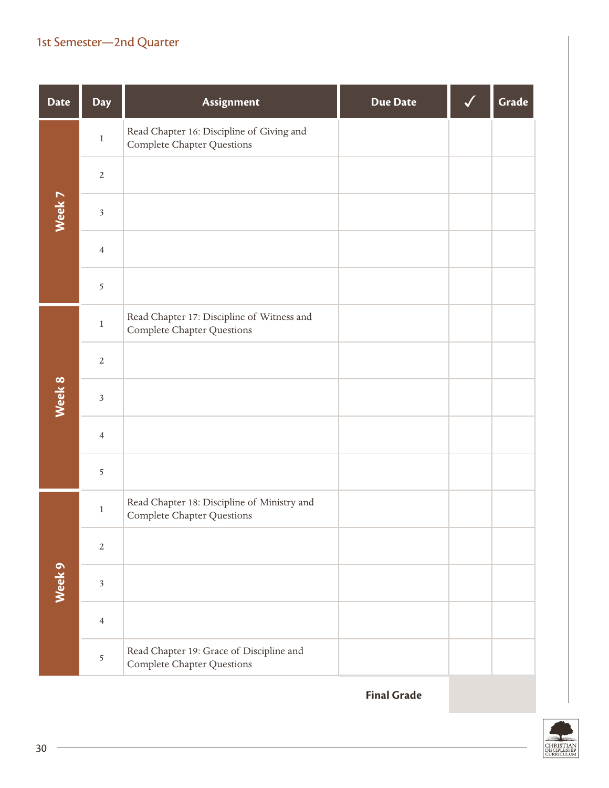| <b>Date</b> | <b>Day</b>               | Assignment                                                                      | <b>Due Date</b> | Grade |
|-------------|--------------------------|---------------------------------------------------------------------------------|-----------------|-------|
|             | $\,1$                    | Read Chapter 16: Discipline of Giving and<br><b>Complete Chapter Questions</b>  |                 |       |
|             | $\sqrt{2}$               |                                                                                 |                 |       |
| Week 7      | $\overline{\mathbf{3}}$  |                                                                                 |                 |       |
|             | $\overline{\mathcal{A}}$ |                                                                                 |                 |       |
|             | 5                        |                                                                                 |                 |       |
|             | $\,1$                    | Read Chapter 17: Discipline of Witness and<br><b>Complete Chapter Questions</b> |                 |       |
|             | $\sqrt{2}$               |                                                                                 |                 |       |
| Week 8      | $\overline{\mathbf{3}}$  |                                                                                 |                 |       |
|             | $\overline{\mathcal{A}}$ |                                                                                 |                 |       |
|             | 5                        |                                                                                 |                 |       |
|             | $\,1\,$                  | Read Chapter 18: Discipline of Ministry and<br>Complete Chapter Questions       |                 |       |
|             | $\sqrt{2}$               |                                                                                 |                 |       |
| Week 9      | $\sqrt{3}$               |                                                                                 |                 |       |
|             | $\overline{4}$           |                                                                                 |                 |       |
|             | 5                        | Read Chapter 19: Grace of Discipline and<br>Complete Chapter Questions          |                 |       |

**Final Grade**

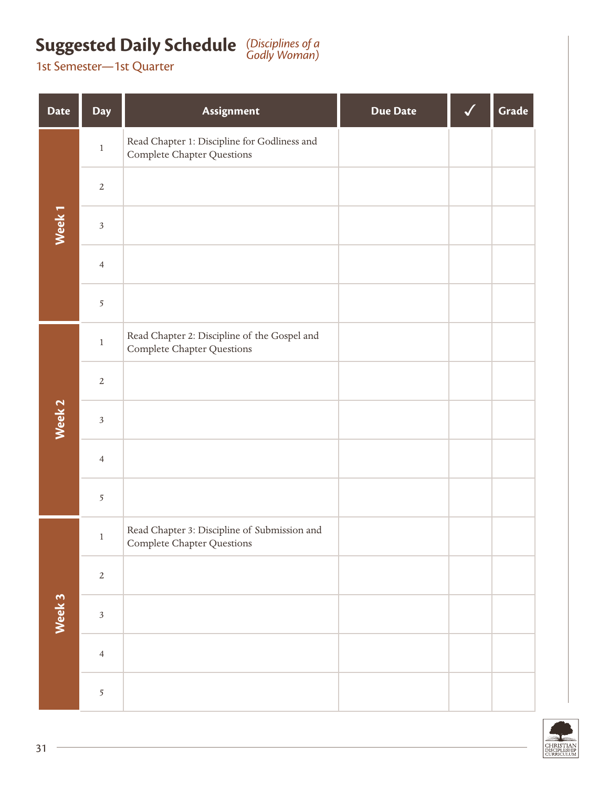# **Suggested Daily Schedule** (Disciplines of a **Codly Woman)**

| <b>Date</b>       | <b>Day</b>     | Assignment                                                                 | <b>Due Date</b> | Grade |
|-------------------|----------------|----------------------------------------------------------------------------|-----------------|-------|
|                   | $\,1$          | Read Chapter 1: Discipline for Godliness and<br>Complete Chapter Questions |                 |       |
|                   | $\sqrt{2}$     |                                                                            |                 |       |
| Week <sub>1</sub> | $\mathfrak{Z}$ |                                                                            |                 |       |
|                   | $\overline{4}$ |                                                                            |                 |       |
|                   | $\sqrt{5}$     |                                                                            |                 |       |
|                   | $\,1$          | Read Chapter 2: Discipline of the Gospel and<br>Complete Chapter Questions |                 |       |
|                   | $\sqrt{2}$     |                                                                            |                 |       |
| Week 2            | $\mathfrak{Z}$ |                                                                            |                 |       |
|                   | $\overline{4}$ |                                                                            |                 |       |
|                   | $\overline{5}$ |                                                                            |                 |       |
|                   | $\mathbf{1}$   | Read Chapter 3: Discipline of Submission and<br>Complete Chapter Questions |                 |       |
|                   | $\sqrt{2}$     |                                                                            |                 |       |
| Week 3            | $\mathfrak{Z}$ |                                                                            |                 |       |
|                   | $\overline{4}$ |                                                                            |                 |       |
|                   | $\overline{5}$ |                                                                            |                 |       |

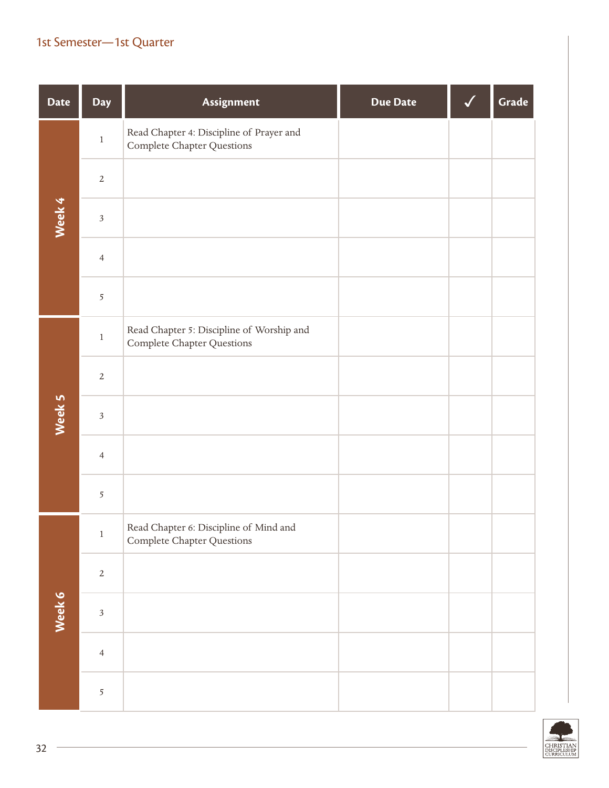| <b>Date</b> | Day                     | Assignment                                                              | <b>Due Date</b> | Grade |
|-------------|-------------------------|-------------------------------------------------------------------------|-----------------|-------|
|             | $\,1\,$                 | Read Chapter 4: Discipline of Prayer and<br>Complete Chapter Questions  |                 |       |
|             | $\sqrt{2}$              |                                                                         |                 |       |
| Week 4      | $\overline{\mathbf{3}}$ |                                                                         |                 |       |
|             | $\overline{4}$          |                                                                         |                 |       |
|             | 5                       |                                                                         |                 |       |
|             | $\,1\,$                 | Read Chapter 5: Discipline of Worship and<br>Complete Chapter Questions |                 |       |
|             | $\sqrt{2}$              |                                                                         |                 |       |
| Week 5      | $\overline{\mathbf{3}}$ |                                                                         |                 |       |
|             | $\overline{4}$          |                                                                         |                 |       |
|             | $\overline{5}$          |                                                                         |                 |       |
|             | $\,1\,$                 | Read Chapter 6: Discipline of Mind and<br>Complete Chapter Questions    |                 |       |
|             | $\sqrt{2}$              |                                                                         |                 |       |
| Week 6      | $\overline{\mathbf{3}}$ |                                                                         |                 |       |
|             | $\overline{4}$          |                                                                         |                 |       |
|             | $\mathfrak{S}$          |                                                                         |                 |       |

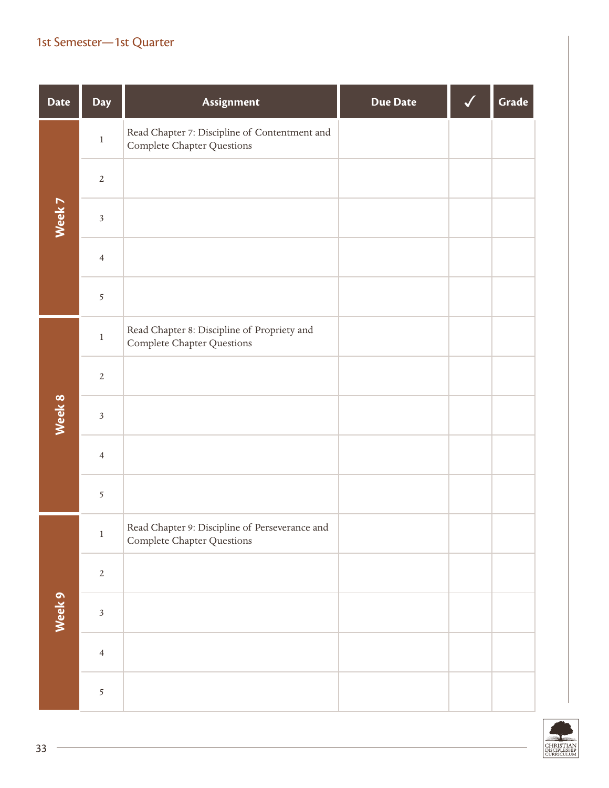| <b>Date</b> | Day                     | Assignment                                                                       | <b>Due Date</b> | Grade |
|-------------|-------------------------|----------------------------------------------------------------------------------|-----------------|-------|
|             | $\,1$                   | Read Chapter 7: Discipline of Contentment and<br>Complete Chapter Questions      |                 |       |
|             | $\sqrt{2}$              |                                                                                  |                 |       |
| Week 7      | $\mathfrak{Z}$          |                                                                                  |                 |       |
|             | $\overline{4}$          |                                                                                  |                 |       |
|             | 5                       |                                                                                  |                 |       |
|             | $\,1$                   | Read Chapter 8: Discipline of Propriety and<br><b>Complete Chapter Questions</b> |                 |       |
|             | $\sqrt{2}$              |                                                                                  |                 |       |
| Week 8      | $\overline{\mathbf{3}}$ |                                                                                  |                 |       |
|             | $\overline{4}$          |                                                                                  |                 |       |
|             | $\overline{5}$          |                                                                                  |                 |       |
|             | $\,1\,$                 | Read Chapter 9: Discipline of Perseverance and<br>Complete Chapter Questions     |                 |       |
|             | $\sqrt{2}$              |                                                                                  |                 |       |
| Week 9      | $\overline{\mathbf{3}}$ |                                                                                  |                 |       |
|             | $\overline{4}$          |                                                                                  |                 |       |
|             | $\mathfrak{S}$          |                                                                                  |                 |       |

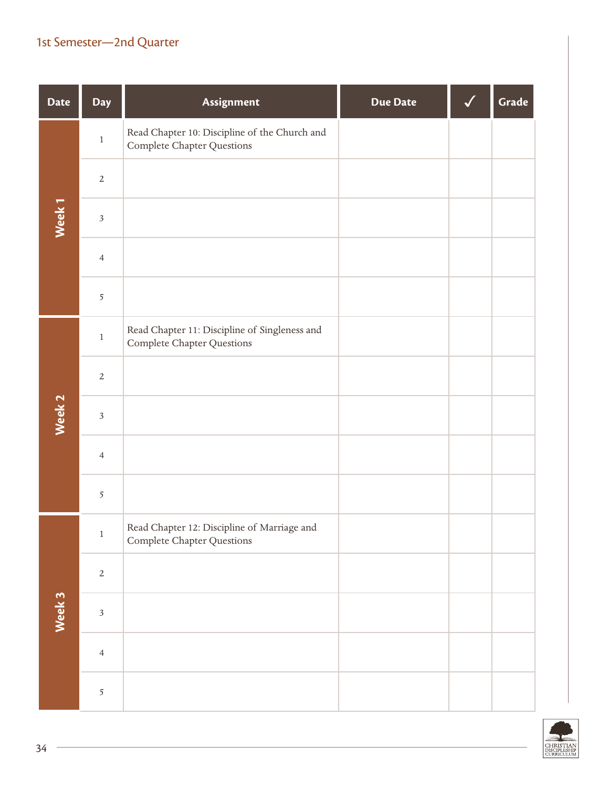| <b>Date</b>       | Day            | Assignment                                                                  | <b>Due Date</b> | Grade |
|-------------------|----------------|-----------------------------------------------------------------------------|-----------------|-------|
|                   | $\,1$          | Read Chapter 10: Discipline of the Church and<br>Complete Chapter Questions |                 |       |
|                   | $\sqrt{2}$     |                                                                             |                 |       |
| Week <sub>1</sub> | $\sqrt{3}$     |                                                                             |                 |       |
|                   | $\overline{4}$ |                                                                             |                 |       |
|                   | 5              |                                                                             |                 |       |
|                   | $\,1$          | Read Chapter 11: Discipline of Singleness and<br>Complete Chapter Questions |                 |       |
|                   | $\overline{2}$ |                                                                             |                 |       |
| Week <sub>2</sub> | $\sqrt{3}$     |                                                                             |                 |       |
|                   | $\overline{4}$ |                                                                             |                 |       |
|                   | 5              |                                                                             |                 |       |
|                   | $\,1$          | Read Chapter 12: Discipline of Marriage and<br>Complete Chapter Questions   |                 |       |
|                   | $\sqrt{2}$     |                                                                             |                 |       |
| Week 3            | $\overline{3}$ |                                                                             |                 |       |
|                   | $\overline{4}$ |                                                                             |                 |       |
|                   | 5              |                                                                             |                 |       |

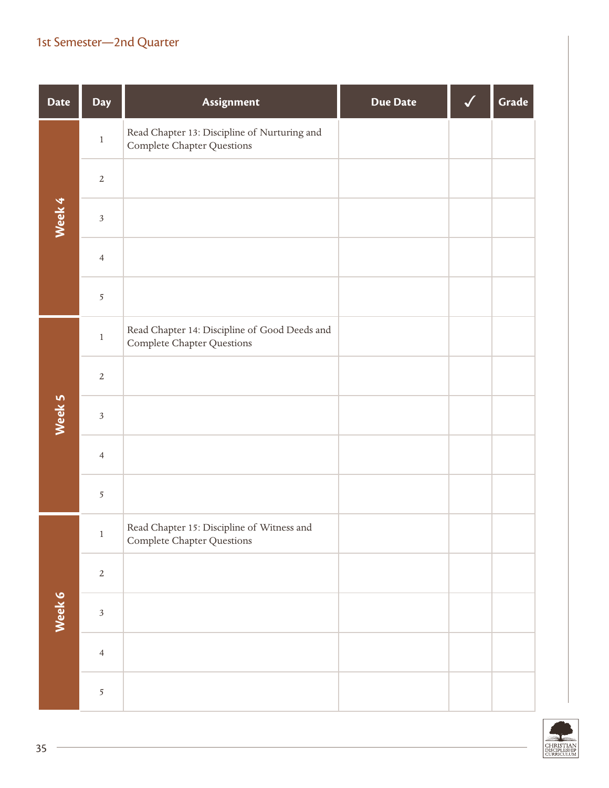| <b>Date</b> | Day            | Assignment                                                                  | <b>Due Date</b> | Grade |
|-------------|----------------|-----------------------------------------------------------------------------|-----------------|-------|
|             | $\,1$          | Read Chapter 13: Discipline of Nurturing and<br>Complete Chapter Questions  |                 |       |
|             | $\sqrt{2}$     |                                                                             |                 |       |
| Week 4      | $\sqrt{3}$     |                                                                             |                 |       |
|             | $\overline{4}$ |                                                                             |                 |       |
|             | $\overline{5}$ |                                                                             |                 |       |
|             | $\,1$          | Read Chapter 14: Discipline of Good Deeds and<br>Complete Chapter Questions |                 |       |
|             | $\overline{2}$ |                                                                             |                 |       |
| Week 5      | $\sqrt{3}$     |                                                                             |                 |       |
|             | $\overline{4}$ |                                                                             |                 |       |
|             | 5              |                                                                             |                 |       |
|             | $\,1$          | Read Chapter 15: Discipline of Witness and<br>Complete Chapter Questions    |                 |       |
|             | $\mathbf{2}$   |                                                                             |                 |       |
| Week 6      | $\overline{3}$ |                                                                             |                 |       |
|             | $\overline{4}$ |                                                                             |                 |       |
|             | 5              |                                                                             |                 |       |

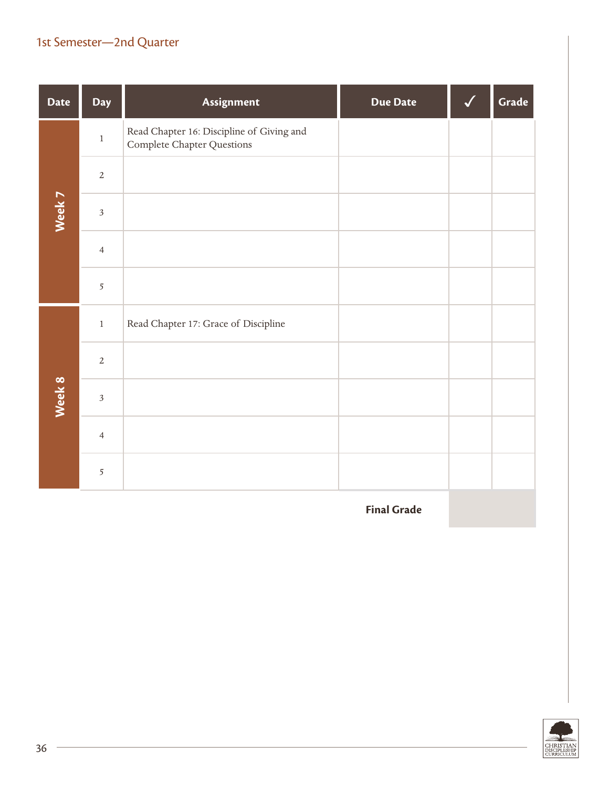| <b>Date</b> | <b>Day</b>     | Assignment                                                              | <b>Due Date</b> | Grade |
|-------------|----------------|-------------------------------------------------------------------------|-----------------|-------|
|             | $\,1$          | Read Chapter 16: Discipline of Giving and<br>Complete Chapter Questions |                 |       |
|             | $\overline{2}$ |                                                                         |                 |       |
| Week 7      | $\overline{3}$ |                                                                         |                 |       |
|             | $\overline{4}$ |                                                                         |                 |       |
|             | 5              |                                                                         |                 |       |
|             | $\,1$          | Read Chapter 17: Grace of Discipline                                    |                 |       |
|             | $\sqrt{2}$     |                                                                         |                 |       |
| Week 8      | $\overline{3}$ |                                                                         |                 |       |
|             | $\overline{4}$ |                                                                         |                 |       |
|             | $\overline{5}$ |                                                                         |                 |       |

**Final Grade**

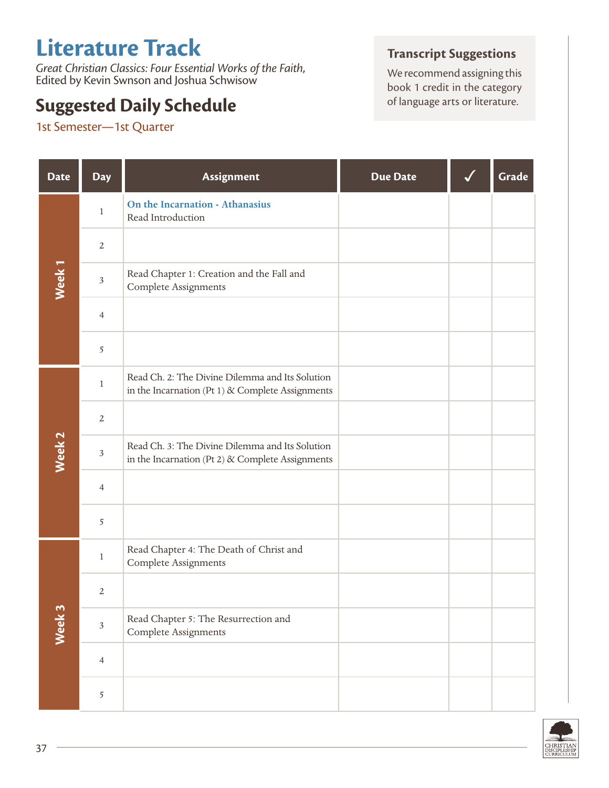# **Literature Track**

*Great Christian Classics: Four Essential Works of the Faith*, Edited by Kevin Swnson and Joshua Schwisow

## **Suggested Daily Schedule**

1st Semester—1st Quarter

#### **Transcript Suggestions**

We recommend assigning this book 1 credit in the category<br>of language arts or literature.

| <b>Date</b>       | <b>Day</b>     | Assignment                                                                                             | <b>Due Date</b> | Grade |
|-------------------|----------------|--------------------------------------------------------------------------------------------------------|-----------------|-------|
|                   | $\mathbf{1}$   | On the Incarnation - Athanasius<br>Read Introduction                                                   |                 |       |
|                   | $\sqrt{2}$     |                                                                                                        |                 |       |
| Week <sub>1</sub> | $\mathfrak{Z}$ | Read Chapter 1: Creation and the Fall and<br><b>Complete Assignments</b>                               |                 |       |
|                   | $\overline{4}$ |                                                                                                        |                 |       |
|                   | $\overline{5}$ |                                                                                                        |                 |       |
|                   | $\mathbf{1}$   | Read Ch. 2: The Divine Dilemma and Its Solution<br>in the Incarnation (Pt 1) $\&$ Complete Assignments |                 |       |
|                   | $\sqrt{2}$     |                                                                                                        |                 |       |
| Week <sub>2</sub> | $\mathfrak{Z}$ | Read Ch. 3: The Divine Dilemma and Its Solution<br>in the Incarnation (Pt 2) & Complete Assignments    |                 |       |
|                   | $\overline{4}$ |                                                                                                        |                 |       |
|                   | 5              |                                                                                                        |                 |       |
|                   | $\mathbf{1}$   | Read Chapter 4: The Death of Christ and<br><b>Complete Assignments</b>                                 |                 |       |
|                   | $\sqrt{2}$     |                                                                                                        |                 |       |
| Week 3            | $\sqrt{3}$     | Read Chapter 5: The Resurrection and<br>Complete Assignments                                           |                 |       |
|                   | $\overline{4}$ |                                                                                                        |                 |       |
|                   | 5              |                                                                                                        |                 |       |

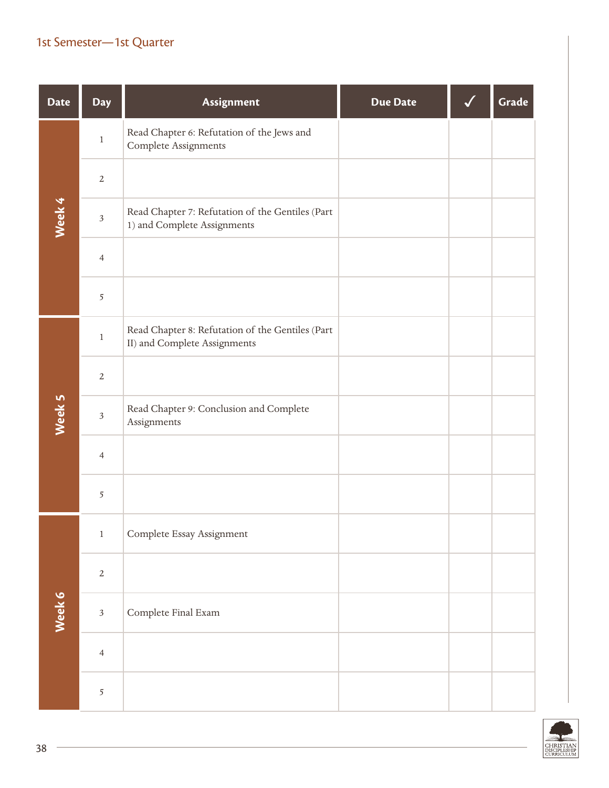| <b>Date</b> | <b>Day</b>              | Assignment                                                                       | <b>Due Date</b> | Grade |
|-------------|-------------------------|----------------------------------------------------------------------------------|-----------------|-------|
|             | $\,1$                   | Read Chapter 6: Refutation of the Jews and<br>Complete Assignments               |                 |       |
|             | $\sqrt{2}$              |                                                                                  |                 |       |
| Week 4      | $\sqrt{3}$              | Read Chapter 7: Refutation of the Gentiles (Part<br>1) and Complete Assignments  |                 |       |
|             | $\overline{4}$          |                                                                                  |                 |       |
|             | 5                       |                                                                                  |                 |       |
|             | $\,1$                   | Read Chapter 8: Refutation of the Gentiles (Part<br>II) and Complete Assignments |                 |       |
|             | $\sqrt{2}$              |                                                                                  |                 |       |
| Week 5      | $\overline{\mathbf{3}}$ | Read Chapter 9: Conclusion and Complete<br>Assignments                           |                 |       |
|             | $\overline{4}$          |                                                                                  |                 |       |
|             | 5                       |                                                                                  |                 |       |
|             | $\,1$                   | Complete Essay Assignment                                                        |                 |       |
|             | $\overline{2}$          |                                                                                  |                 |       |
| Week 6      | $\overline{\mathbf{3}}$ | Complete Final Exam                                                              |                 |       |
|             | $\overline{4}$          |                                                                                  |                 |       |
|             | 5                       |                                                                                  |                 |       |

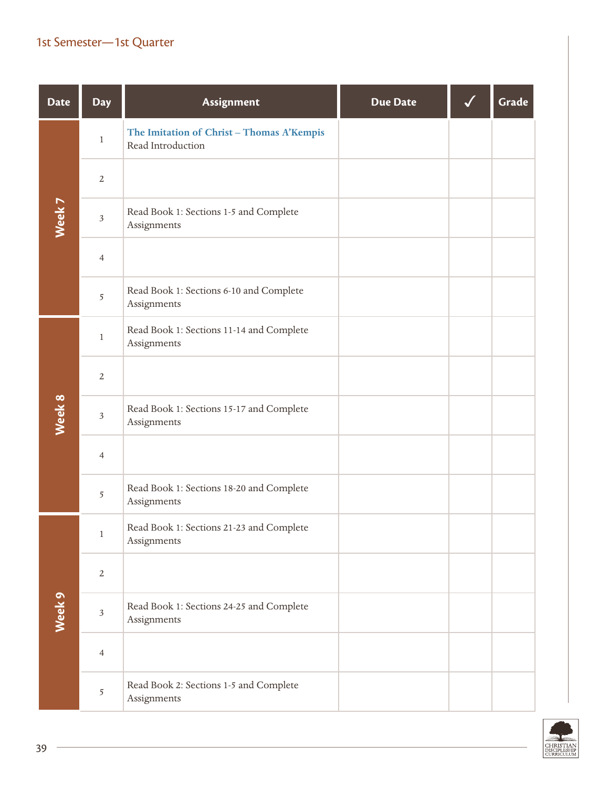| <b>Date</b> | <b>Day</b>              | Assignment                                                     | <b>Due Date</b> | Grade |
|-------------|-------------------------|----------------------------------------------------------------|-----------------|-------|
|             | $\mathbf{1}$            | The Imitation of Christ - Thomas A'Kempis<br>Read Introduction |                 |       |
|             | $\overline{2}$          |                                                                |                 |       |
| Week 7      | $\overline{\mathbf{3}}$ | Read Book 1: Sections 1-5 and Complete<br>Assignments          |                 |       |
|             | $\overline{4}$          |                                                                |                 |       |
|             | 5                       | Read Book 1: Sections 6-10 and Complete<br>Assignments         |                 |       |
|             | $\,1$                   | Read Book 1: Sections 11-14 and Complete<br>Assignments        |                 |       |
|             | $\overline{2}$          |                                                                |                 |       |
| Week 8      | $\mathfrak{Z}$          | Read Book 1: Sections 15-17 and Complete<br>Assignments        |                 |       |
|             | $\overline{4}$          |                                                                |                 |       |
|             | 5                       | Read Book 1: Sections 18-20 and Complete<br>Assignments        |                 |       |
|             | $\mathbf{1}$            | Read Book 1: Sections 21-23 and Complete<br>Assignments        |                 |       |
|             | $\sqrt{2}$              |                                                                |                 |       |
| Week 9      | $\overline{\mathbf{3}}$ | Read Book 1: Sections 24-25 and Complete<br>Assignments        |                 |       |
|             | $\overline{4}$          |                                                                |                 |       |
|             | 5                       | Read Book 2: Sections 1-5 and Complete<br>Assignments          |                 |       |

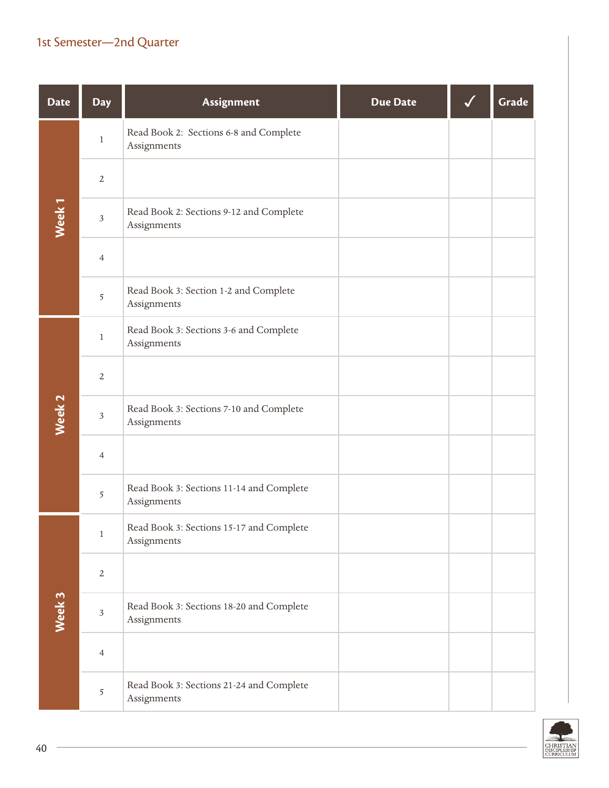| <b>Date</b>       | <b>Day</b>              | Assignment                                              | <b>Due Date</b> | Grade |
|-------------------|-------------------------|---------------------------------------------------------|-----------------|-------|
|                   | $\mathbf{1}$            | Read Book 2: Sections 6-8 and Complete<br>Assignments   |                 |       |
|                   | $\overline{2}$          |                                                         |                 |       |
| Week <sub>1</sub> | $\overline{\mathbf{3}}$ | Read Book 2: Sections 9-12 and Complete<br>Assignments  |                 |       |
|                   | $\overline{4}$          |                                                         |                 |       |
|                   | 5                       | Read Book 3: Section 1-2 and Complete<br>Assignments    |                 |       |
|                   | $\,1$                   | Read Book 3: Sections 3-6 and Complete<br>Assignments   |                 |       |
|                   | $\sqrt{2}$              |                                                         |                 |       |
| Week <sub>2</sub> | $\mathfrak{Z}$          | Read Book 3: Sections 7-10 and Complete<br>Assignments  |                 |       |
|                   | 4                       |                                                         |                 |       |
|                   | 5                       | Read Book 3: Sections 11-14 and Complete<br>Assignments |                 |       |
|                   | $\mathbf{1}$            | Read Book 3: Sections 15-17 and Complete<br>Assignments |                 |       |
|                   | $\sqrt{2}$              |                                                         |                 |       |
| Week 3            | $\overline{\mathbf{3}}$ | Read Book 3: Sections 18-20 and Complete<br>Assignments |                 |       |
|                   | $\overline{4}$          |                                                         |                 |       |
|                   | 5                       | Read Book 3: Sections 21-24 and Complete<br>Assignments |                 |       |

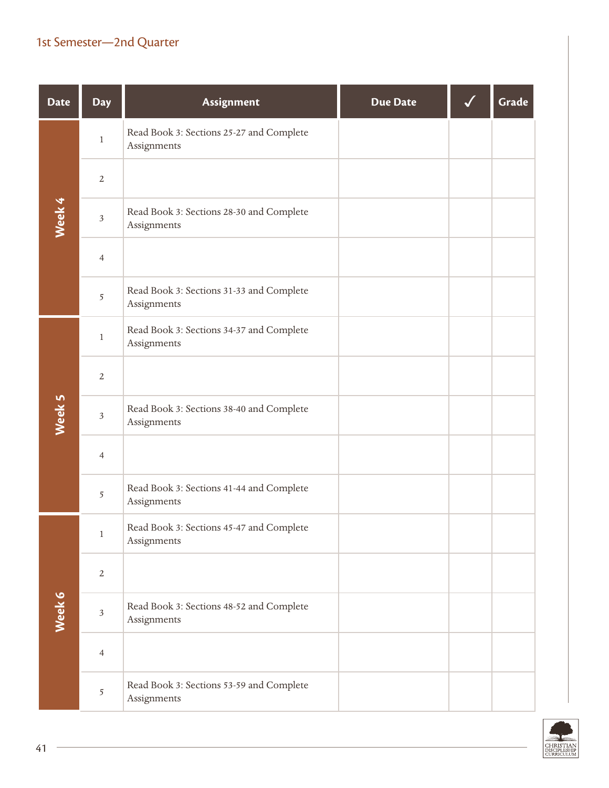| <b>Date</b> | <b>Day</b>              | Assignment                                              | <b>Due Date</b> | Grade |
|-------------|-------------------------|---------------------------------------------------------|-----------------|-------|
|             | $\,1$                   | Read Book 3: Sections 25-27 and Complete<br>Assignments |                 |       |
|             | $\overline{2}$          |                                                         |                 |       |
| Week 4      | $\sqrt{3}$              | Read Book 3: Sections 28-30 and Complete<br>Assignments |                 |       |
|             | $\overline{4}$          |                                                         |                 |       |
|             | 5                       | Read Book 3: Sections 31-33 and Complete<br>Assignments |                 |       |
|             | $\,1$                   | Read Book 3: Sections 34-37 and Complete<br>Assignments |                 |       |
|             | $\sqrt{2}$              |                                                         |                 |       |
| Week 5      | $\mathfrak{Z}$          | Read Book 3: Sections 38-40 and Complete<br>Assignments |                 |       |
|             | 4                       |                                                         |                 |       |
|             | 5                       | Read Book 3: Sections 41-44 and Complete<br>Assignments |                 |       |
|             | $\mathbf{1}$            | Read Book 3: Sections 45-47 and Complete<br>Assignments |                 |       |
|             | $\sqrt{2}$              |                                                         |                 |       |
| Week 6      | $\overline{\mathbf{3}}$ | Read Book 3: Sections 48-52 and Complete<br>Assignments |                 |       |
|             | $\overline{4}$          |                                                         |                 |       |
|             | 5                       | Read Book 3: Sections 53-59 and Complete<br>Assignments |                 |       |

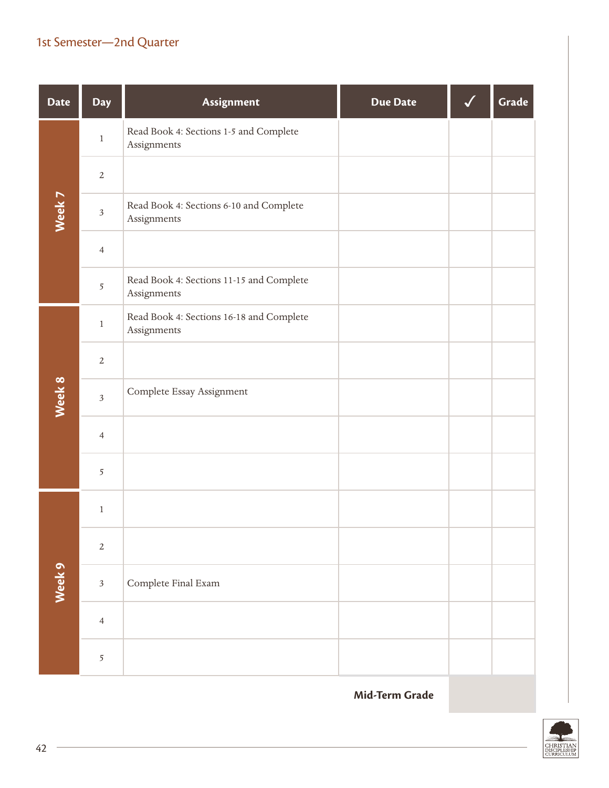| <b>Date</b> | Day            | Assignment                                              | <b>Due Date</b> | Grade |
|-------------|----------------|---------------------------------------------------------|-----------------|-------|
|             | $\,1$          | Read Book 4: Sections 1-5 and Complete<br>Assignments   |                 |       |
|             | $\overline{2}$ |                                                         |                 |       |
| Week 7      | $\sqrt{3}$     | Read Book 4: Sections 6-10 and Complete<br>Assignments  |                 |       |
|             | $\overline{4}$ |                                                         |                 |       |
|             | 5              | Read Book 4: Sections 11-15 and Complete<br>Assignments |                 |       |
|             | $\,1$          | Read Book 4: Sections 16-18 and Complete<br>Assignments |                 |       |
|             | $\sqrt{2}$     |                                                         |                 |       |
| Week 8      | $\overline{3}$ | Complete Essay Assignment                               |                 |       |
|             | $\overline{4}$ |                                                         |                 |       |
|             | 5              |                                                         |                 |       |
|             | $\,1$          |                                                         |                 |       |
|             | $\overline{2}$ |                                                         |                 |       |
| Week 9      | $\overline{3}$ | Complete Final Exam                                     |                 |       |
|             | $\overline{4}$ |                                                         |                 |       |
|             | 5              |                                                         |                 |       |

**Mid-Term Grade**

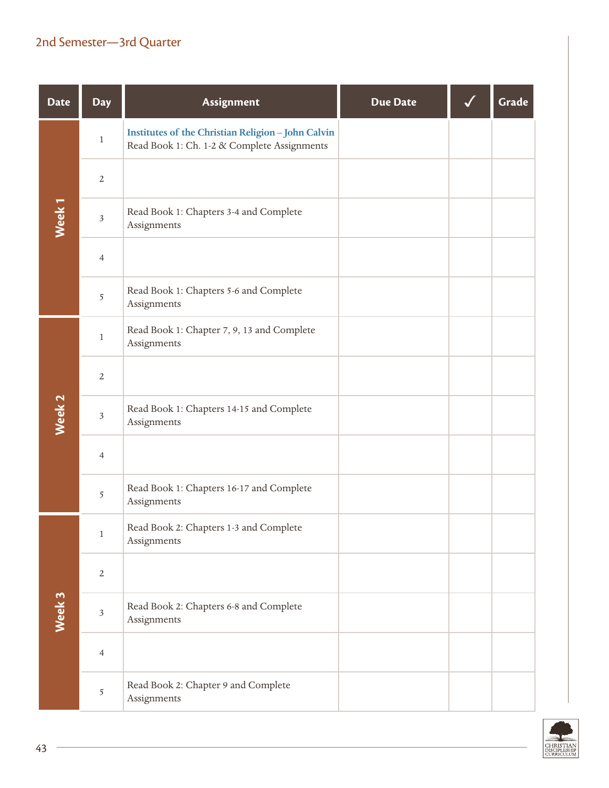| <b>Date</b>       | <b>Day</b>     | Assignment                                                                                               | <b>Due Date</b> | Grade |
|-------------------|----------------|----------------------------------------------------------------------------------------------------------|-----------------|-------|
|                   | $\,1$          | <b>Institutes of the Christian Religion - John Calvin</b><br>Read Book 1: Ch. 1-2 & Complete Assignments |                 |       |
|                   | $\sqrt{2}$     |                                                                                                          |                 |       |
| Week <sub>1</sub> | $\sqrt{3}$     | Read Book 1: Chapters 3-4 and Complete<br>Assignments                                                    |                 |       |
|                   | $\overline{4}$ |                                                                                                          |                 |       |
|                   | $\overline{5}$ | Read Book 1: Chapters 5-6 and Complete<br>Assignments                                                    |                 |       |
|                   | $\mathbf{1}$   | Read Book 1: Chapter 7, 9, 13 and Complete<br>Assignments                                                |                 |       |
|                   | $\overline{2}$ |                                                                                                          |                 |       |
| Week 2            | $\sqrt{3}$     | Read Book 1: Chapters 14-15 and Complete<br>Assignments                                                  |                 |       |
|                   | $\overline{4}$ |                                                                                                          |                 |       |
|                   | 5              | Read Book 1: Chapters 16-17 and Complete<br>Assignments                                                  |                 |       |
|                   | $\mathbf{1}$   | Read Book 2: Chapters 1-3 and Complete<br>Assignments                                                    |                 |       |
|                   | $\overline{2}$ |                                                                                                          |                 |       |
| Week 3            | $\sqrt{3}$     | Read Book 2: Chapters 6-8 and Complete<br>Assignments                                                    |                 |       |
|                   | $\overline{4}$ |                                                                                                          |                 |       |
|                   | 5              | Read Book 2: Chapter 9 and Complete<br>Assignments                                                       |                 |       |

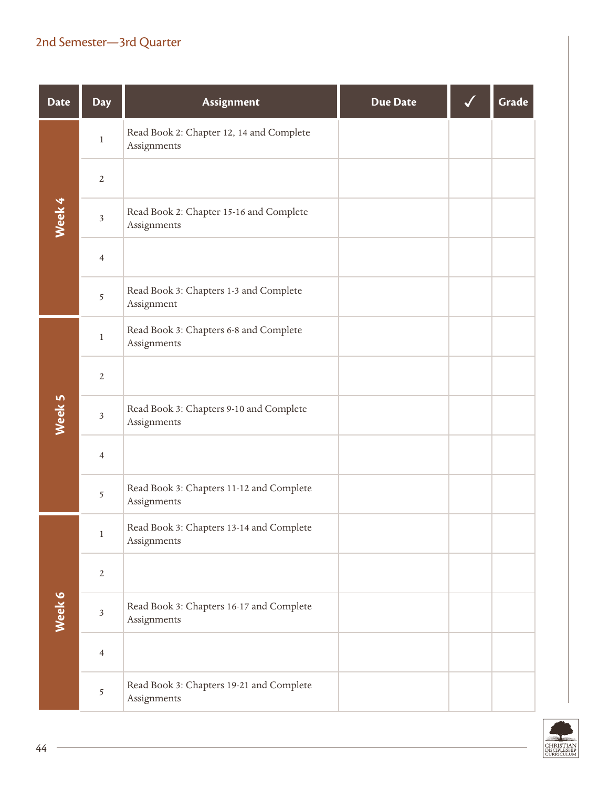| <b>Date</b> | <b>Day</b>     | Assignment                                              | <b>Due Date</b> | Grade |
|-------------|----------------|---------------------------------------------------------|-----------------|-------|
|             | $\mathbf{1}$   | Read Book 2: Chapter 12, 14 and Complete<br>Assignments |                 |       |
|             | $\overline{2}$ |                                                         |                 |       |
| Week 4      | $\sqrt{3}$     | Read Book 2: Chapter 15-16 and Complete<br>Assignments  |                 |       |
|             | $\overline{4}$ |                                                         |                 |       |
|             | 5              | Read Book 3: Chapters 1-3 and Complete<br>Assignment    |                 |       |
|             | $\mathbf{1}$   | Read Book 3: Chapters 6-8 and Complete<br>Assignments   |                 |       |
|             | $\overline{2}$ |                                                         |                 |       |
| Week 5      | $\sqrt{3}$     | Read Book 3: Chapters 9-10 and Complete<br>Assignments  |                 |       |
|             | $\overline{4}$ |                                                         |                 |       |
|             | 5              | Read Book 3: Chapters 11-12 and Complete<br>Assignments |                 |       |
|             | $\mathbf{1}$   | Read Book 3: Chapters 13-14 and Complete<br>Assignments |                 |       |
|             | $\overline{2}$ |                                                         |                 |       |
| Week 6      | $\sqrt{3}$     | Read Book 3: Chapters 16-17 and Complete<br>Assignments |                 |       |
|             | $\overline{4}$ |                                                         |                 |       |
|             | 5              | Read Book 3: Chapters 19-21 and Complete<br>Assignments |                 |       |

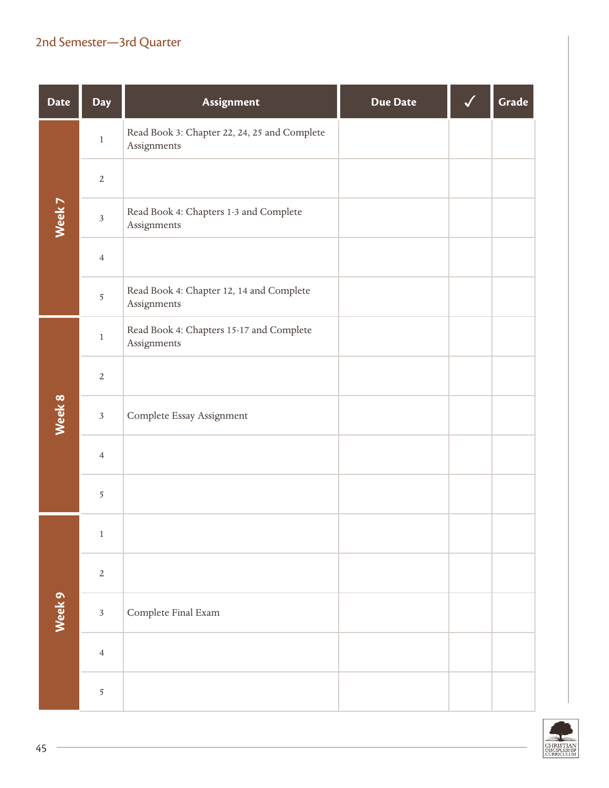| <b>Date</b> | Day            | Assignment                                                  | <b>Due Date</b> | Grade |
|-------------|----------------|-------------------------------------------------------------|-----------------|-------|
|             | $\,1$          | Read Book 3: Chapter 22, 24, 25 and Complete<br>Assignments |                 |       |
|             | $\sqrt{2}$     |                                                             |                 |       |
| Week 7      | $\sqrt{3}$     | Read Book 4: Chapters 1-3 and Complete<br>Assignments       |                 |       |
|             | $\overline{4}$ |                                                             |                 |       |
|             | 5              | Read Book 4: Chapter 12, 14 and Complete<br>Assignments     |                 |       |
|             | $\,1$          | Read Book 4: Chapters 15-17 and Complete<br>Assignments     |                 |       |
|             | $\sqrt{2}$     |                                                             |                 |       |
| Week 8      | $\sqrt{3}$     | Complete Essay Assignment                                   |                 |       |
|             | $\overline{4}$ |                                                             |                 |       |
|             | 5              |                                                             |                 |       |
|             | $\,1$          |                                                             |                 |       |
|             | $\sqrt{2}$     |                                                             |                 |       |
| Week 9      | $\mathfrak{Z}$ | Complete Final Exam                                         |                 |       |
|             | $\overline{4}$ |                                                             |                 |       |
|             | 5              |                                                             |                 |       |

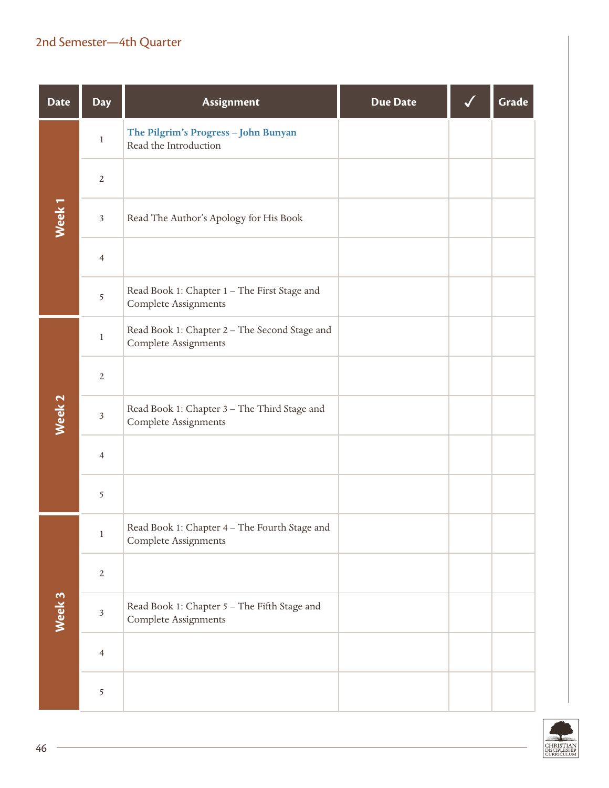| <b>Date</b>       | <b>Day</b>              | Assignment                                                                   | <b>Due Date</b> | Grade |
|-------------------|-------------------------|------------------------------------------------------------------------------|-----------------|-------|
|                   | $\,1$                   | The Pilgrim's Progress - John Bunyan<br>Read the Introduction                |                 |       |
|                   | $\sqrt{2}$              |                                                                              |                 |       |
| Week <sub>1</sub> | $\mathfrak{Z}$          | Read The Author's Apology for His Book                                       |                 |       |
|                   | $\overline{4}$          |                                                                              |                 |       |
|                   | 5                       | Read Book 1: Chapter 1 - The First Stage and<br><b>Complete Assignments</b>  |                 |       |
|                   | $\,1$                   | Read Book 1: Chapter 2 - The Second Stage and<br><b>Complete Assignments</b> |                 |       |
|                   | $\sqrt{2}$              |                                                                              |                 |       |
| Week 2            | $\mathfrak{Z}$          | Read Book 1: Chapter 3 - The Third Stage and<br><b>Complete Assignments</b>  |                 |       |
|                   | $\overline{4}$          |                                                                              |                 |       |
|                   | 5                       |                                                                              |                 |       |
|                   | $\mathbf{1}$            | Read Book 1: Chapter 4 - The Fourth Stage and<br>Complete Assignments        |                 |       |
|                   | $\overline{2}$          |                                                                              |                 |       |
| Week 3            | $\overline{\mathbf{3}}$ | Read Book 1: Chapter 5 - The Fifth Stage and<br>Complete Assignments         |                 |       |
|                   | $\overline{4}$          |                                                                              |                 |       |
|                   | 5                       |                                                                              |                 |       |

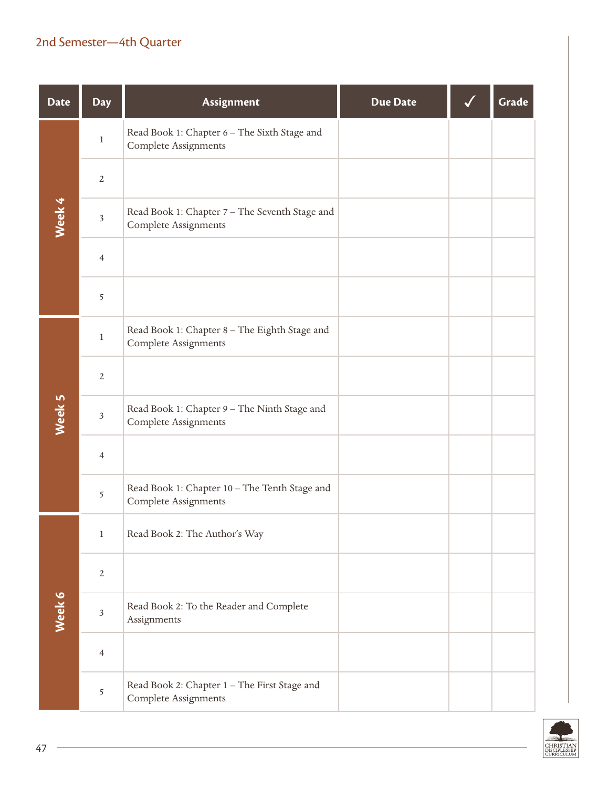| <b>Date</b> | <b>Day</b>     | Assignment                                                                    | <b>Due Date</b> | Grade |
|-------------|----------------|-------------------------------------------------------------------------------|-----------------|-------|
|             | $\mathbf{1}$   | Read Book 1: Chapter 6 - The Sixth Stage and<br><b>Complete Assignments</b>   |                 |       |
|             | $\overline{2}$ |                                                                               |                 |       |
| Week 4      | $\sqrt{3}$     | Read Book 1: Chapter 7 - The Seventh Stage and<br><b>Complete Assignments</b> |                 |       |
|             | $\overline{4}$ |                                                                               |                 |       |
|             | 5              |                                                                               |                 |       |
|             | $\mathbf{1}$   | Read Book 1: Chapter 8 - The Eighth Stage and<br><b>Complete Assignments</b>  |                 |       |
|             | $\overline{2}$ |                                                                               |                 |       |
| Week 5      | $\mathfrak{Z}$ | Read Book 1: Chapter 9 - The Ninth Stage and<br><b>Complete Assignments</b>   |                 |       |
|             | $\overline{4}$ |                                                                               |                 |       |
|             | 5              | Read Book 1: Chapter 10 - The Tenth Stage and<br><b>Complete Assignments</b>  |                 |       |
|             | $\,1$          | Read Book 2: The Author's Way                                                 |                 |       |
|             | $\overline{2}$ |                                                                               |                 |       |
| Week 6      | $\sqrt{3}$     | Read Book 2: To the Reader and Complete<br>Assignments                        |                 |       |
|             | $\overline{4}$ |                                                                               |                 |       |
|             | 5              | Read Book 2: Chapter 1 - The First Stage and<br>Complete Assignments          |                 |       |